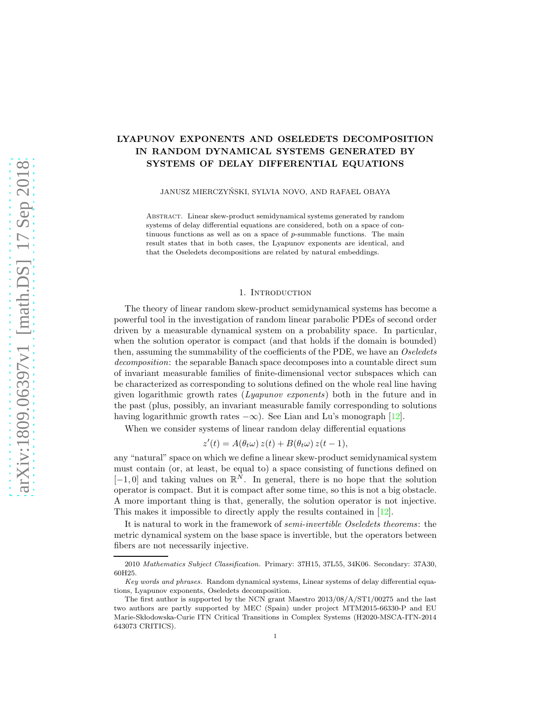# LYAPUNOV EXPONENTS AND OSELEDETS DECOMPOSITION IN RANDOM DYNAMICAL SYSTEMS GENERATED BY SYSTEMS OF DELAY DIFFERENTIAL EQUATIONS

JANUSZ MIERCZYŃSKI, SYLVIA NOVO, AND RAFAEL OBAYA

Abstract. Linear skew-product semidynamical systems generated by random systems of delay differential equations are considered, both on a space of continuous functions as well as on a space of p-summable functions. The main result states that in both cases, the Lyapunov exponents are identical, and that the Oseledets decompositions are related by natural embeddings.

### 1. Introduction

The theory of linear random skew-product semidynamical systems has become a powerful tool in the investigation of random linear parabolic PDEs of second order driven by a measurable dynamical system on a probability space. In particular, when the solution operator is compact (and that holds if the domain is bounded) then, assuming the summability of the coefficients of the PDE, we have an *Oseledets decomposition*: the separable Banach space decomposes into a countable direct sum of invariant measurable families of finite-dimensional vector subspaces which can be characterized as corresponding to solutions defined on the whole real line having given logarithmic growth rates (*Lyapunov exponents*) both in the future and in the past (plus, possibly, an invariant measurable family corresponding to solutions having logarithmic growth rates  $-\infty$ ). See Lian and Lu's monograph [\[12\]](#page-18-0).

When we consider systems of linear random delay differential equations

$$
z'(t) = A(\theta_t \omega) z(t) + B(\theta_t \omega) z(t-1),
$$

any "natural" space on which we define a linear skew-product semidynamical system must contain (or, at least, be equal to) a space consisting of functions defined on  $[-1, 0]$  and taking values on  $\mathbb{R}^N$ . In general, there is no hope that the solution operator is compact. But it is compact after some time, so this is not a big obstacle. A more important thing is that, generally, the solution operator is not injective. This makes it impossible to directly apply the results contained in [\[12\]](#page-18-0).

It is natural to work in the framework of *semi-invertible Oseledets theorems*: the metric dynamical system on the base space is invertible, but the operators between fibers are not necessarily injective.

<sup>2010</sup> Mathematics Subject Classification. Primary: 37H15, 37L55, 34K06. Secondary: 37A30, 60H25.

Key words and phrases. Random dynamical systems, Linear systems of delay differential equations, Lyapunov exponents, Oseledets decomposition.

The first author is supported by the NCN grant Maestro 2013/08/A/ST1/00275 and the last two authors are partly supported by MEC (Spain) under project MTM2015-66330-P and EU Marie-Sk lodowska-Curie ITN Critical Transitions in Complex Systems (H2020-MSCA-ITN-2014 643073 CRITICS).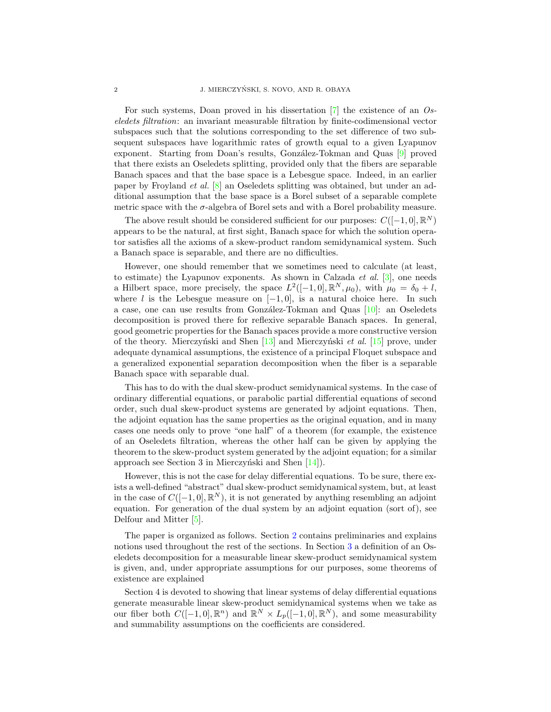For such systems, Doan proved in his dissertation [\[7\]](#page-18-1) the existence of an *Oseledets filtration*: an invariant measurable filtration by finite-codimensional vector subspaces such that the solutions corresponding to the set difference of two subsequent subspaces have logarithmic rates of growth equal to a given Lyapunov exponent. Starting from Doan's results, González-Tokman and Quas [\[9\]](#page-18-2) proved that there exists an Oseledets splitting, provided only that the fibers are separable Banach spaces and that the base space is a Lebesgue space. Indeed, in an earlier paper by Froyland *et al.* [\[8\]](#page-18-3) an Oseledets splitting was obtained, but under an additional assumption that the base space is a Borel subset of a separable complete metric space with the  $\sigma$ -algebra of Borel sets and with a Borel probability measure.

The above result should be considered sufficient for our purposes:  $C([-1,0], \mathbb{R}^{N})$ appears to be the natural, at first sight, Banach space for which the solution operator satisfies all the axioms of a skew-product random semidynamical system. Such a Banach space is separable, and there are no difficulties.

However, one should remember that we sometimes need to calculate (at least, to estimate) the Lyapunov exponents. As shown in Calzada *et al.* [\[3\]](#page-18-4), one needs a Hilbert space, more precisely, the space  $L^2([-1,0],\mathbb{R}^N,\mu_0)$ , with  $\mu_0 = \delta_0 + l$ , where l is the Lebesgue measure on  $[-1, 0]$ , is a natural choice here. In such a case, one can use results from González-Tokman and Quas  $[10]$ : an Oseledets decomposition is proved there for reflexive separable Banach spaces. In general, good geometric properties for the Banach spaces provide a more constructive version of the theory. Mierczyński and Shen [\[13\]](#page-19-0) and Mierczyński *et al.* [\[15\]](#page-19-1) prove, under adequate dynamical assumptions, the existence of a principal Floquet subspace and a generalized exponential separation decomposition when the fiber is a separable Banach space with separable dual.

This has to do with the dual skew-product semidynamical systems. In the case of ordinary differential equations, or parabolic partial differential equations of second order, such dual skew-product systems are generated by adjoint equations. Then, the adjoint equation has the same properties as the original equation, and in many cases one needs only to prove "one half" of a theorem (for example, the existence of an Oseledets filtration, whereas the other half can be given by applying the theorem to the skew-product system generated by the adjoint equation; for a similar approach see Section 3 in Mierczyński and Shen  $[14]$ .

However, this is not the case for delay differential equations. To be sure, there exists a well-defined "abstract" dual skew-product semidynamical system, but, at least in the case of  $C([-1,0], \mathbb{R}^{N})$ , it is not generated by anything resembling an adjoint equation. For generation of the dual system by an adjoint equation (sort of), see Delfour and Mitter [\[5\]](#page-18-6).

The paper is organized as follows. Section [2](#page-2-0) contains preliminaries and explains notions used throughout the rest of the sections. In Section [3](#page-3-0) a definition of an Oseledets decomposition for a measurable linear skew-product semidynamical system is given, and, under appropriate assumptions for our purposes, some theorems of existence are explained

Section 4 is devoted to showing that linear systems of delay differential equations generate measurable linear skew-product semidynamical systems when we take as our fiber both  $C([-1,0], \mathbb{R}^n)$  and  $\mathbb{R}^N \times L_p([-1,0], \mathbb{R}^N)$ , and some measurability and summability assumptions on the coefficients are considered.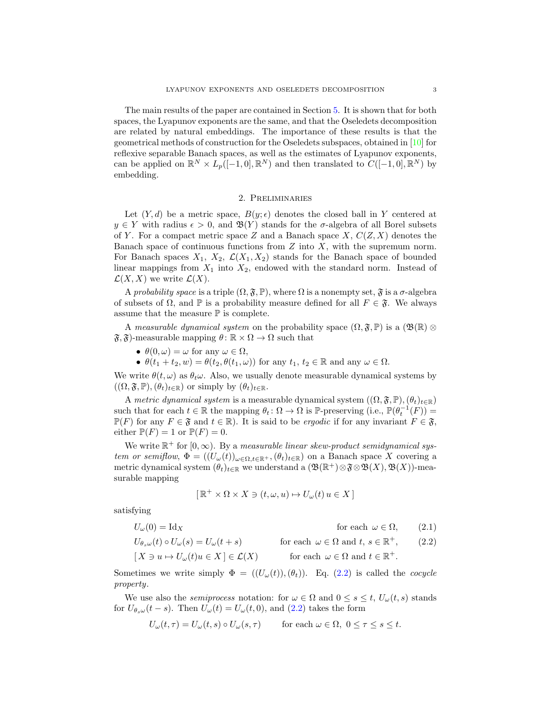The main results of the paper are contained in Section [5.](#page-14-0) It is shown that for both spaces, the Lyapunov exponents are the same, and that the Oseledets decomposition are related by natural embeddings. The importance of these results is that the geometrical methods of construction for the Oseledets subspaces, obtained in [\[10\]](#page-18-5) for reflexive separable Banach spaces, as well as the estimates of Lyapunov exponents, can be applied on  $\mathbb{R}^N \times L_p([-1,0],\mathbb{R}^N)$  and then translated to  $C([-1,0],\mathbb{R}^N)$  by embedding.

## 2. Preliminaries

<span id="page-2-0"></span>Let  $(Y, d)$  be a metric space,  $B(y; \epsilon)$  denotes the closed ball in Y centered at  $y \in Y$  with radius  $\epsilon > 0$ , and  $\mathfrak{B}(Y)$  stands for the  $\sigma$ -algebra of all Borel subsets of Y. For a compact metric space Z and a Banach space X,  $C(Z, X)$  denotes the Banach space of continuous functions from  $Z$  into  $X$ , with the supremum norm. For Banach spaces  $X_1$ ,  $X_2$ ,  $\mathcal{L}(X_1, X_2)$  stands for the Banach space of bounded linear mappings from  $X_1$  into  $X_2$ , endowed with the standard norm. Instead of  $\mathcal{L}(X, X)$  we write  $\mathcal{L}(X)$ .

A *probability space* is a triple  $(\Omega, \mathfrak{F}, \mathbb{P})$ , where  $\Omega$  is a nonempty set,  $\mathfrak{F}$  is a  $\sigma$ -algebra of subsets of  $\Omega$ , and  $\mathbb P$  is a probability measure defined for all  $F \in \mathfrak{F}$ . We always assume that the measure  $\mathbb P$  is complete.

A *measurable dynamical system* on the probability space  $(\Omega, \mathfrak{F}, \mathbb{P})$  is a  $(\mathfrak{B}(\mathbb{R}) \otimes$  $\mathfrak{F}, \mathfrak{F}$ -measurable mapping  $\theta \colon \mathbb{R} \times \Omega \to \Omega$  such that

- $\theta(0,\omega) = \omega$  for any  $\omega \in \Omega$ ,
- $\theta(t_1+t_2,w)=\theta(t_2,\theta(t_1,\omega))$  for any  $t_1, t_2 \in \mathbb{R}$  and any  $\omega \in \Omega$ .

We write  $\theta(t,\omega)$  as  $\theta_t\omega$ . Also, we usually denote measurable dynamical systems by  $((\Omega, \mathfrak{F}, \mathbb{P}),(\theta_t)_{t\in\mathbb{R}})$  or simply by  $(\theta_t)_{t\in\mathbb{R}}$ .

A *metric dynamical system* is a measurable dynamical system  $((\Omega, \mathfrak{F}, \mathbb{P}), (\theta_t)_{t \in \mathbb{R}})$ such that for each  $t \in \mathbb{R}$  the mapping  $\theta_t \colon \Omega \to \Omega$  is P-preserving  $(i.e., \mathbb{P}(\theta_t^{-1}(F)) =$  $\mathbb{P}(F)$  for any  $F \in \mathfrak{F}$  and  $t \in \mathbb{R}$ ). It is said to be *ergodic* if for any invariant  $F \in \mathfrak{F}$ , either  $\mathbb{P}(F) = 1$  or  $\mathbb{P}(F) = 0$ .

We write  $\mathbb{R}^+$  for  $[0,\infty)$ . By a *measurable linear skew-product semidynamical system or semiflow*,  $\Phi = ((U_{\omega}(t))_{\omega \in \Omega, t \in \mathbb{R}^+}, (\theta_t)_{t \in \mathbb{R}})$  on a Banach space X covering a metric dynamical system  $(\theta_t)_{t \in \mathbb{R}}$  we understand a  $(\mathfrak{B}(\mathbb{R}^+) \otimes \mathfrak{F} \otimes \mathfrak{B}(X), \mathfrak{B}(X))$ -measurable mapping

<span id="page-2-2"></span><span id="page-2-1"></span>
$$
[\mathbb{R}^+ \times \Omega \times X \ni (t, \omega, u) \mapsto U_{\omega}(t) u \in X]
$$

satisfying

 $U_{\omega}(0) = \text{Id}_X$  for each  $\omega \in \Omega$ , (2.1)

$$
U_{\theta_s\omega}(t) \circ U_{\omega}(s) = U_{\omega}(t+s) \quad \text{for each } \omega \in \Omega \text{ and } t, s \in \mathbb{R}^+, \qquad (2.2)
$$
  

$$
[X \ni u \mapsto U_{\omega}(t)u \in X] \in \mathcal{L}(X) \quad \text{for each } \omega \in \Omega \text{ and } t \in \mathbb{R}^+.
$$

Sometimes we write simply  $\Phi = ((U_{\omega}(t)),(\theta_t)).$  Eq. [\(2.2\)](#page-2-1) is called the *cocycle property*.

We use also the *semiprocess* notation: for  $\omega \in \Omega$  and  $0 \leq s \leq t$ ,  $U_{\omega}(t, s)$  stands for  $U_{\theta s\omega}(t-s)$ . Then  $U_{\omega}(t) = U_{\omega}(t,0)$ , and  $(2.2)$  takes the form

$$
U_{\omega}(t,\tau) = U_{\omega}(t,s) \circ U_{\omega}(s,\tau) \quad \text{for each } \omega \in \Omega, \ 0 \le \tau \le s \le t.
$$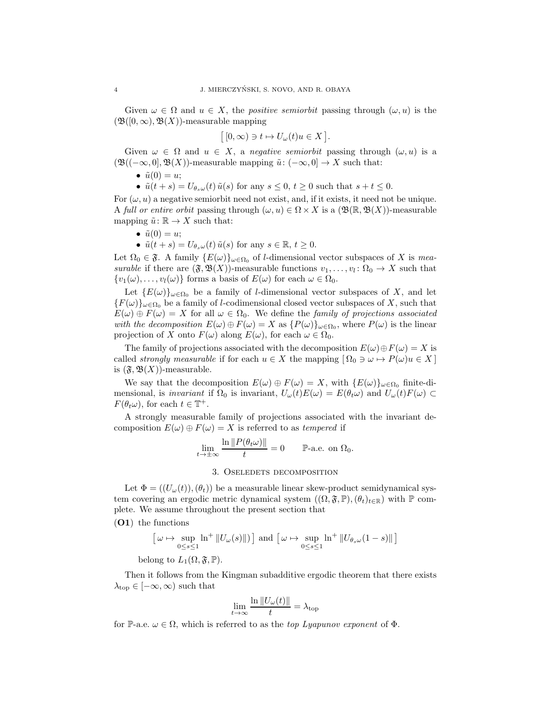Given  $\omega \in \Omega$  and  $u \in X$ , the *positive semiorbit* passing through  $(\omega, u)$  is the  $(\mathfrak{B}([0,\infty),\mathfrak{B}(X))$ -measurable mapping

$$
[[0,\infty)\ni t\mapsto U_{\omega}(t)u\in X].
$$

Given  $\omega \in \Omega$  and  $u \in X$ , a *negative semiorbit* passing through  $(\omega, u)$  is a  $(\mathfrak{B}((-\infty,0],\mathfrak{B}(X))$ -measurable mapping  $\tilde{u}: (-\infty,0] \to X$  such that:

•  $\tilde{u}(0) = u;$ 

•  $\tilde{u}(t+s) = U_{\theta_s\omega}(t) \tilde{u}(s)$  for any  $s \leq 0, t \geq 0$  such that  $s+t \leq 0$ .

For  $(\omega, u)$  a negative semiorbit need not exist, and, if it exists, it need not be unique. A *full or entire orbit* passing through  $(\omega, u) \in \Omega \times X$  is a  $(\mathfrak{B}(\mathbb{R}, \mathfrak{B}(X))$ -measurable mapping  $\tilde{u}: \mathbb{R} \to X$  such that:

•  $\tilde{u}(0) = u$ ;

•  $\tilde{u}(t+s) = U_{\theta_s\omega}(t) \tilde{u}(s)$  for any  $s \in \mathbb{R}, t \geq 0$ .

Let  $\Omega_0 \in \mathfrak{F}$ . A family  $\{E(\omega)\}_{\omega \in \Omega_0}$  of *l*-dimensional vector subspaces of X is *measurable* if there are  $(\mathfrak{F}, \mathfrak{B}(X))$ -measurable functions  $v_1, \ldots, v_l : \Omega_0 \to X$  such that  $\{v_1(\omega), \ldots, v_l(\omega)\}\$ forms a basis of  $E(\omega)$  for each  $\omega \in \Omega_0$ .

Let  ${E(\omega)}_{\omega \in \Omega_0}$  be a family of *l*-dimensional vector subspaces of X, and let  ${F(\omega)}_{\omega \in \Omega_0}$  be a family of *l*-codimensional closed vector subspaces of X, such that  $E(\omega) \oplus F(\omega) = X$  for all  $\omega \in \Omega_0$ . We define the *family of projections associated with the decomposition*  $E(\omega) \oplus F(\omega) = X$  as  $\{P(\omega)\}_{\omega \in \Omega_0}$ , where  $P(\omega)$  is the linear projection of X onto  $F(\omega)$  along  $E(\omega)$ , for each  $\omega \in \Omega_0$ .

The family of projections associated with the decomposition  $E(\omega) \oplus F(\omega) = X$  is called *strongly measurable* if for each  $u \in X$  the mapping  $[ \Omega_0 \ni \omega \mapsto P(\omega)u \in X ]$ is  $(\mathfrak{F}, \mathfrak{B}(X))$ -measurable.

We say that the decomposition  $E(\omega) \oplus F(\omega) = X$ , with  $\{E(\omega)\}_{\omega \in \Omega_0}$  finite-dimensional, is *invariant* if  $\Omega_0$  is invariant,  $U_\omega(t)E(\omega) = E(\theta_t\omega)$  and  $U_\omega(t)F(\omega) \subset$  $F(\theta_t \omega)$ , for each  $t \in \mathbb{T}^+$ .

A strongly measurable family of projections associated with the invariant decomposition  $E(\omega) \oplus F(\omega) = X$  is referred to as *tempered* if

$$
\lim_{t \to \pm \infty} \frac{\ln \|P(\theta_t \omega)\|}{t} = 0 \qquad \mathbb{P}\text{-a.e. on } \Omega_0.
$$

#### 3. Oseledets decomposition

<span id="page-3-0"></span>Let  $\Phi = ((U_{\omega}(t)),(\theta_t))$  be a measurable linear skew-product semidynamical system covering an ergodic metric dynamical system  $((\Omega, \mathfrak{F}, \mathbb{P}),(\theta_t)_{t \in \mathbb{R}})$  with  $\mathbb P$  complete. We assume throughout the present section that

(O1) the functions

$$
\left[\omega \mapsto \sup_{0 \le s \le 1} \ln^+ \|U_\omega(s)\|) \right] \text{ and } \left[\omega \mapsto \sup_{0 \le s \le 1} \ln^+ \|U_{\theta_s \omega} (1-s)\| \right]
$$

belong to  $L_1(\Omega, \mathfrak{F}, \mathbb{P}).$ 

Then it follows from the Kingman subadditive ergodic theorem that there exists  $\lambda_{\text{top}} \in [-\infty, \infty)$  such that

$$
\lim_{t \to \infty} \frac{\ln \|U_{\omega}(t)\|}{t} = \lambda_{\text{top}}
$$

for P-a.e.  $\omega \in \Omega$ , which is referred to as the *top Lyapunov exponent* of  $\Phi$ .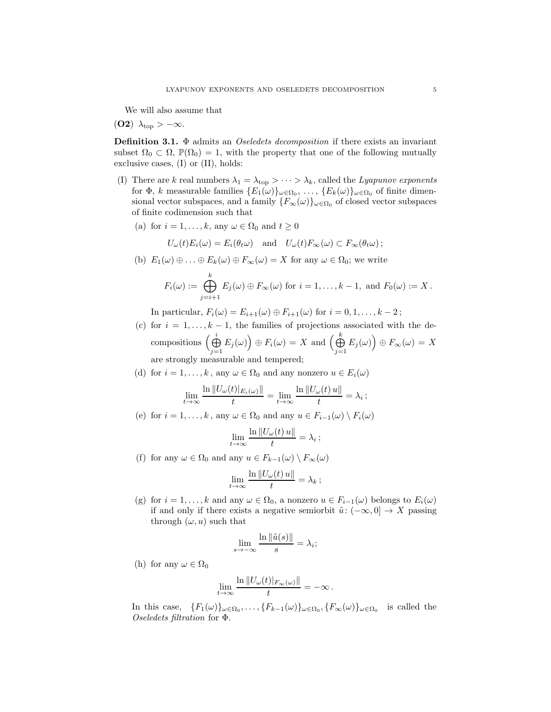We will also assume that

(O2)  $\lambda_{\text{top}} > -\infty$ .

Definition 3.1. Φ admits an *Oseledets decomposition* if there exists an invariant subset  $\Omega_0 \subset \Omega$ ,  $\mathbb{P}(\Omega_0) = 1$ , with the property that one of the following mutually exclusive cases, (I) or (II), holds:

- (I) There are k real numbers  $\lambda_1 = \lambda_{\text{top}} > \cdots > \lambda_k$ , called the *Lyapunov exponents* for  $\Phi$ , k measurable families  $\{E_1(\omega)\}_{\omega \in \Omega_0}, \ldots, \{E_k(\omega)\}_{\omega \in \Omega_0}$  of finite dimensional vector subspaces, and a family  $\{F_{\infty}(\omega)\}_{\omega \in \Omega_0}$  of closed vector subspaces of finite codimension such that
	- (a) for  $i = 1, ..., k$ , any  $\omega \in \Omega_0$  and  $t \geq 0$

$$
U_{\omega}(t)E_i(\omega) = E_i(\theta_t \omega)
$$
 and  $U_{\omega}(t)F_{\infty}(\omega) \subset F_{\infty}(\theta_t \omega)$ ;

(b)  $E_1(\omega) \oplus \ldots \oplus E_k(\omega) \oplus F_\infty(\omega) = X$  for any  $\omega \in \Omega_0$ ; we write

$$
F_i(\omega) := \bigoplus_{j=i+1}^k E_j(\omega) \oplus F_{\infty}(\omega) \text{ for } i = 1,\ldots,k-1, \text{ and } F_0(\omega) := X.
$$

In particular,  $F_i(\omega) = E_{i+1}(\omega) \oplus F_{i+1}(\omega)$  for  $i = 0, 1, \ldots, k-2$ ;

- (c) for  $i = 1, ..., k 1$ , the families of projections associated with the decompositions  $\big(\bigoplus^i$  $\bigoplus_{j=1}^i E_j(\omega) \big) \oplus F_i(\omega) = X$  and  $\Big(\bigoplus_{j=1}^k E_j(\omega) \Big)$  $\bigoplus_{j=1}^k E_j(\omega) \Big) \oplus F_\infty(\omega) \, = \, X$ are strongly measurable and tempered;
- (d) for  $i = 1, ..., k$ , any  $\omega \in \Omega_0$  and any nonzero  $u \in E_i(\omega)$

$$
\lim_{t \to \infty} \frac{\ln \|U_{\omega}(t)|_{E_i(\omega)}\|}{t} = \lim_{t \to \infty} \frac{\ln \|U_{\omega}(t)u\|}{t} = \lambda_i ;
$$

(e) for  $i = 1, ..., k$ , any  $\omega \in \Omega_0$  and any  $u \in F_{i-1}(\omega) \setminus F_i(\omega)$ 

$$
\lim_{t\to\infty}\frac{\ln\|U_{\omega}(t)\,u\|}{t}=\lambda_i\,;
$$

(f) for any  $\omega \in \Omega_0$  and any  $u \in F_{k-1}(\omega) \setminus F_{\infty}(\omega)$ 

$$
\lim_{t \to \infty} \frac{\ln \|U_{\omega}(t) u\|}{t} = \lambda_k ;
$$

(g) for  $i = 1, ..., k$  and any  $\omega \in \Omega_0$ , a nonzero  $u \in F_{i-1}(\omega)$  belongs to  $E_i(\omega)$ if and only if there exists a negative semiorbit  $\tilde{u}: (-\infty, 0] \to X$  passing through  $(\omega, u)$  such that

$$
\lim_{s \to -\infty} \frac{\ln \|\tilde{u}(s)\|}{s} = \lambda_i;
$$

(h) for any  $\omega \in \Omega_0$ 

$$
\lim_{t\to\infty}\frac{\ln||U_\omega(t)|_{F_\infty(\omega)}||}{t}=-\infty.
$$

In this case,  $\{F_1(\omega)\}_\omega \in \Omega_0, \ldots, \{F_{k-1}(\omega)\}_\omega \in \Omega_0, \{F_\infty(\omega)\}_\omega \in \Omega_0$  is called the *Oseledets filtration* for Φ.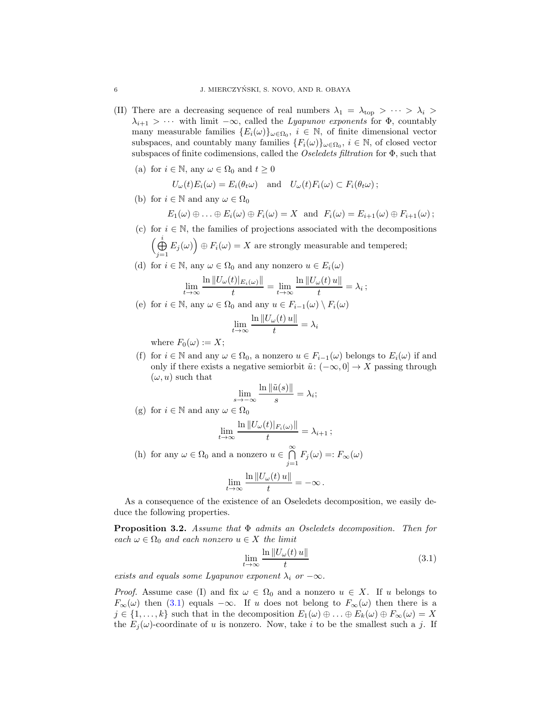- (II) There are a decreasing sequence of real numbers  $\lambda_1 = \lambda_{\text{top}} > \cdots > \lambda_i$  $\lambda_{i+1} > \cdots$  with limit  $-\infty$ , called the *Lyapunov exponents* for  $\Phi$ , countably many measurable families  $\{E_i(\omega)\}_{\omega \in \Omega_0}$ ,  $i \in \mathbb{N}$ , of finite dimensional vector subspaces, and countably many families  $\{F_i(\omega)\}_\omega \in \Omega_0$ ,  $i \in \mathbb{N}$ , of closed vector subspaces of finite codimensions, called the *Oseledets filtration* for Φ, such that
	- (a) for  $i \in \mathbb{N}$ , any  $\omega \in \Omega_0$  and  $t \geq 0$

$$
U_{\omega}(t)E_i(\omega) = E_i(\theta_t \omega) \text{ and } U_{\omega}(t)F_i(\omega) \subset F_i(\theta_t \omega);
$$

(b) for  $i \in \mathbb{N}$  and any  $\omega \in \Omega_0$ 

 $E_1(\omega) \oplus \ldots \oplus E_i(\omega) \oplus F_i(\omega) = X$  and  $F_i(\omega) = E_{i+1}(\omega) \oplus F_{i+1}(\omega)$ ;

- (c) for  $i \in \mathbb{N}$ , the families of projections associated with the decompositions  $\big(\bigoplus^i$  $\bigoplus_{j=1}^{i} E_j(\omega) \big) \oplus F_i(\omega) = X$  are strongly measurable and tempered;
- (d) for  $i \in \mathbb{N}$ , any  $\omega \in \Omega_0$  and any nonzero  $u \in E_i(\omega)$

$$
\lim_{t \to \infty} \frac{\ln \|U_{\omega}(t)|_{E_i(\omega)}\|}{t} = \lim_{t \to \infty} \frac{\ln \|U_{\omega}(t) u\|}{t} = \lambda_i ;
$$

(e) for  $i \in \mathbb{N}$ , any  $\omega \in \Omega_0$  and any  $u \in F_{i-1}(\omega) \setminus F_i(\omega)$ 

$$
\lim_{t \to \infty} \frac{\ln \|U_{\omega}(t) u\|}{t} = \lambda_i
$$

where  $F_0(\omega) := X;$ 

(f) for  $i \in \mathbb{N}$  and any  $\omega \in \Omega_0$ , a nonzero  $u \in F_{i-1}(\omega)$  belongs to  $E_i(\omega)$  if and only if there exists a negative semiorbit  $\tilde{u}: (-\infty, 0] \to X$  passing through  $(\omega, u)$  such that

$$
\lim_{s \to -\infty} \frac{\ln \|\tilde{u}(s)\|}{s} = \lambda_i;
$$

(g) for  $i \in \mathbb{N}$  and any  $\omega \in \Omega_0$ 

$$
\lim_{t\to\infty}\frac{\ln||U_\omega(t)|_{F_i(\omega)}||}{t}=\lambda_{i+1}\,;
$$

(h) for any  $\omega \in \Omega_0$  and a nonzero  $u \in \bigcap^{\infty}$  $\bigcap_{j=1} F_j(\omega) =: F_{\infty}(\omega)$  $\lim_{t\to\infty}\frac{\ln\|U_\omega(t)\,u\|}{t}$  $\frac{f^{(c)}(x)}{t} = -\infty.$ 

As a consequence of the existence of an Oseledets decomposition, we easily deduce the following properties.

<span id="page-5-1"></span>Proposition 3.2. *Assume that* Φ *admits an Oseledets decomposition. Then for*  $\operatorname{each} \omega \in \Omega_0$  *and each nonzero*  $u \in X$  *the limit* 

<span id="page-5-0"></span>
$$
\lim_{t \to \infty} \frac{\ln \|U_{\omega}(t)u\|}{t} \tag{3.1}
$$

*exists and equals some Lyapunov exponent*  $\lambda_i$  *or*  $-\infty$ *.* 

*Proof.* Assume case (I) and fix  $\omega \in \Omega_0$  and a nonzero  $u \in X$ . If u belongs to  $F_{\infty}(\omega)$  then [\(3.1\)](#page-5-0) equals  $-\infty$ . If u does not belong to  $F_{\infty}(\omega)$  then there is a  $j \in \{1, \ldots, k\}$  such that in the decomposition  $E_1(\omega) \oplus \ldots \oplus E_k(\omega) \oplus F_{\infty}(\omega) = X$ the  $E_i(\omega)$ -coordinate of u is nonzero. Now, take i to be the smallest such a j. If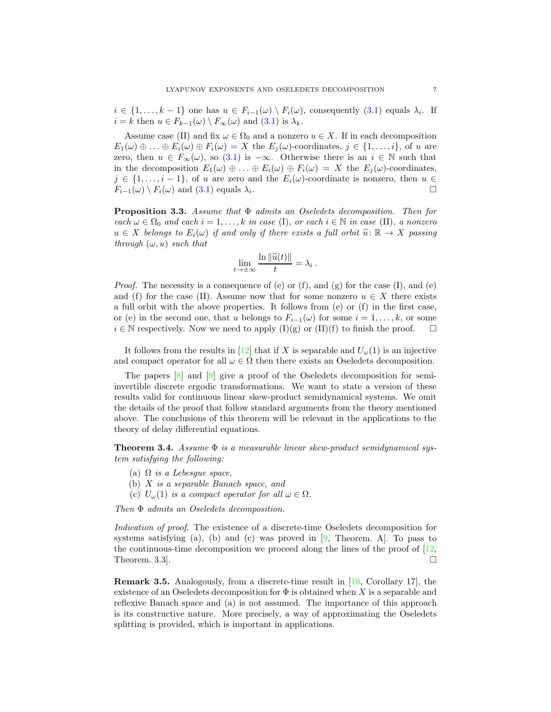$i \in \{1, \ldots, k-1\}$  one has  $u \in F_{i-1}(\omega) \setminus F_i(\omega)$ , consequently  $(3.1)$  equals  $\lambda_i$ . If  $i = k$  then  $u \in F_{k-1}(\omega) \setminus F_{\infty}(\omega)$  and  $(3.1)$  is  $\lambda_k$ .

Assume case (II) and fix  $\omega \in \Omega_0$  and a nonzero  $u \in X$ . If in each decomposition  $E_1(\omega) \oplus \ldots \oplus E_i(\omega) \oplus F_i(\omega) = X$  the  $E_j(\omega)$ -coordinates,  $j \in \{1, \ldots, i\}$ , of u are zero, then  $u \in F_{\infty}(\omega)$ , so [\(3.1\)](#page-5-0) is  $-\infty$ . Otherwise there is an  $i \in \mathbb{N}$  such that in the decomposition  $E_1(\omega) \oplus \ldots \oplus E_i(\omega) \oplus F_i(\omega) = X$  the  $E_i(\omega)$ -coordinates,  $j \in \{1, \ldots, i-1\}$ , of u are zero and the  $E_i(\omega)$ -coordinate is nonzero, then  $u \in$  $F_{i-1}(\omega) \setminus F_i(\omega)$  and  $(3.1)$  equals  $\lambda_i$ . .

<span id="page-6-0"></span>Proposition 3.3. *Assume that* Φ *admits an Oseledets decomposition. Then for*  $each \omega \in \Omega_0$  *and each*  $i = 1, \ldots, k$  *in case* (I)*, or each*  $i \in \mathbb{N}$  *in case* (II)*, a nonzero*  $u \in X$  *belongs to*  $E_i(\omega)$  *if and only if there exists a full orbit*  $\widetilde{u}: \mathbb{R} \to X$  *passing through*  $(\omega, u)$  *such that* 

$$
\lim_{t \to \pm \infty} \frac{\ln \|\widetilde{u}(t)\|}{t} = \lambda_i
$$

.

*Proof.* The necessity is a consequence of (e) or (f), and (g) for the case (I), and (e) and (f) for the case (II). Assume now that for some nonzero  $u \in X$  there exists a full orbit with the above properties. It follows from (e) or (f) in the first case, or (e) in the second one, that u belongs to  $F_{i-1}(\omega)$  for some  $i = 1, \ldots, k$ , or some  $i \in \mathbb{N}$  respectively. Now we need to apply  $(I)(g)$  or  $(II)(f)$  to finish the proof.  $\Box$ 

It follows from the results in [\[12\]](#page-18-0) that if X is separable and  $U_{\omega}(1)$  is an injective and compact operator for all  $\omega \in \Omega$  then there exists an Oseledets decomposition.

The papers [\[8\]](#page-18-3) and [\[9\]](#page-18-2) give a proof of the Oseledets decomposition for semiinvertible discrete ergodic transformations. We want to state a version of these results valid for continuous linear skew-product semidynamical systems. We omit the details of the proof that follow standard arguments from the theory mentioned above. The conclusions of this theorem will be relevant in the applications to the theory of delay differential equations.

Theorem 3.4. *Assume* Φ *is a measurable linear skew-product semidynamical system satisfying the following:*

- (a) Ω *is a Lebesgue space,*
- (b) X *is a separable Banach space, and*
- (c)  $U_{\omega}(1)$  *is a compact operator for all*  $\omega \in \Omega$ *.*

*Then* Φ *admits an Oseledets decomposition.*

*Indication of proof.* The existence of a discrete-time Oseledets decomposition for systems satisfying (a), (b) and (c) was proved in  $[9,$  Theorem. A. To pass to the continuous-time decomposition we proceed along the lines of the proof of  $[12]$ , Theorem. 3.3.  $\Box$ 

Remark 3.5. Analogously, from a discrete-time result in [\[10,](#page-18-5) Corollary 17], the existence of an Oseledets decomposition for  $\Phi$  is obtained when X is a separable and reflexive Banach space and (a) is not assumed. The importance of this approach is its constructive nature. More precisely, a way of approximating the Oseledets splitting is provided, which is important in applications.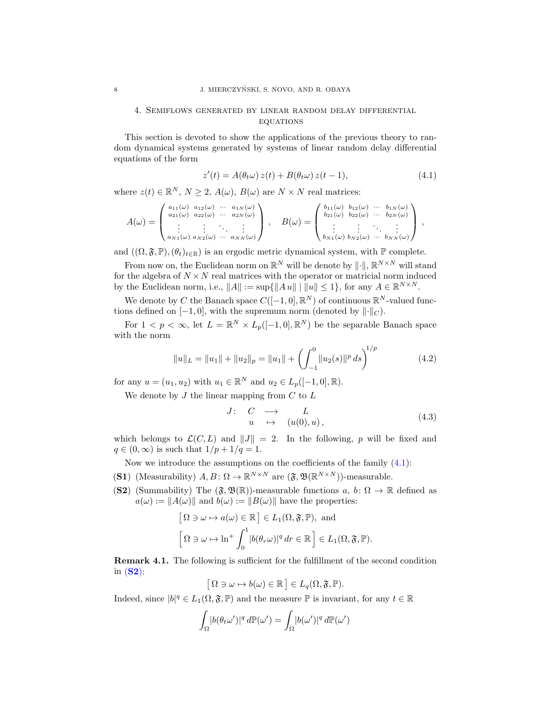## 4. Semiflows generated by linear random delay differential **EQUATIONS**

This section is devoted to show the applications of the previous theory to random dynamical systems generated by systems of linear random delay differential equations of the form

<span id="page-7-0"></span>
$$
z'(t) = A(\theta_t \omega) z(t) + B(\theta_t \omega) z(t-1), \qquad (4.1)
$$

where  $z(t) \in \mathbb{R}^N$ ,  $N \geq 2$ ,  $A(\omega)$ ,  $B(\omega)$  are  $N \times N$  real matrices:

$$
A(\omega) = \begin{pmatrix} a_{11}(\omega) & a_{12}(\omega) & \cdots & a_{1N}(\omega) \\ a_{21}(\omega) & a_{22}(\omega) & \cdots & a_{2N}(\omega) \\ \vdots & \vdots & \ddots & \vdots \\ a_{N1}(\omega) & a_{N2}(\omega) & \cdots & a_{NN}(\omega) \end{pmatrix}, \quad B(\omega) = \begin{pmatrix} b_{11}(\omega) & b_{12}(\omega) & \cdots & b_{1N}(\omega) \\ b_{21}(\omega) & b_{22}(\omega) & \cdots & b_{2N}(\omega) \\ \vdots & \vdots & \ddots & \vdots \\ b_{N1}(\omega) & b_{N2}(\omega) & \cdots & b_{NN}(\omega) \end{pmatrix},
$$

and  $((\Omega, \mathfrak{F}, \mathbb{P}),(\theta_t)_{t \in \mathbb{R}})$  is an ergodic metric dynamical system, with  $\mathbb P$  complete.

From now on, the Euclidean norm on  $\mathbb{R}^N$  will be denote by  $\|\cdot\|$ ,  $\mathbb{R}^{N \times N}$  will stand for the algebra of  $N \times N$  real matrices with the operator or matricial norm induced by the Euclidean norm, i.e.,  $||A|| := \sup{||Au|| \mid ||u|| \leq 1}$ , for any  $A \in \mathbb{R}^{N \times N}$ .

We denote by C the Banach space  $C([-1, 0], \mathbb{R}^{N})$  of continuous  $\mathbb{R}^{N}$ -valued functions defined on  $[-1, 0]$ , with the supremum norm (denoted by  $\|\cdot\|_C$ ).

For  $1 < p < \infty$ , let  $L = \mathbb{R}^N \times L_p([-1,0],\mathbb{R}^N)$  be the separable Banach space with the norm

<span id="page-7-3"></span>
$$
||u||_L = ||u_1|| + ||u_2||_p = ||u_1|| + \left(\int_{-1}^0 ||u_2(s)||^p ds\right)^{1/p}
$$
(4.2)

for any  $u = (u_1, u_2)$  with  $u_1 \in \mathbb{R}^N$  and  $u_2 \in L_p([-1, 0], \mathbb{R})$ .

We denote by  $J$  the linear mapping from  $C$  to  $L$ 

<span id="page-7-4"></span>
$$
J: C \longrightarrow L
$$
  
\n
$$
u \mapsto (u(0), u),
$$
\n(4.3)

which belongs to  $\mathcal{L}(C, L)$  and  $||J|| = 2$ . In the following, p will be fixed and  $q \in (0,\infty)$  is such that  $1/p + 1/q = 1$ .

Now we introduce the assumptions on the coefficients of the family  $(4.1)$ :

- <span id="page-7-2"></span><span id="page-7-1"></span>(S1) (Measurability)  $A, B: \Omega \to \mathbb{R}^{N \times N}$  are  $(\mathfrak{F}, \mathfrak{B}(\mathbb{R}^{N \times N}))$ -measurable.
- (S2) (Summability) The  $(\mathfrak{F}, \mathfrak{B}(\mathbb{R}))$ -measurable functions  $a, b \colon \Omega \to \mathbb{R}$  defined as  $a(\omega) := ||A(\omega)||$  and  $b(\omega) := ||B(\omega)||$  have the properties:

$$
[\Omega \ni \omega \mapsto a(\omega) \in \mathbb{R}] \in L_1(\Omega, \mathfrak{F}, \mathbb{P}), \text{ and}
$$

$$
[\Omega \ni \omega \mapsto \ln^+ \int_0^1 |b(\theta_r \omega)|^q dr \in \mathbb{R}] \in L_1(\Omega, \mathfrak{F}, \mathbb{P}).
$$

Remark 4.1. The following is sufficient for the fulfillment of the second condition in  $(S2)$  $(S2)$  $(S2)$ :

$$
[\Omega \ni \omega \mapsto b(\omega) \in \mathbb{R}] \in L_q(\Omega, \mathfrak{F}, \mathbb{P}).
$$

Indeed, since  $|b|^q \in L_1(\Omega, \mathfrak{F}, \mathbb{P})$  and the measure  $\mathbb P$  is invariant, for any  $t \in \mathbb{R}$ 

$$
\int_{\Omega} |b(\theta_t \omega')|^q \, d\mathbb{P}(\omega') = \int_{\Omega} |b(\omega')|^q \, d\mathbb{P}(\omega')
$$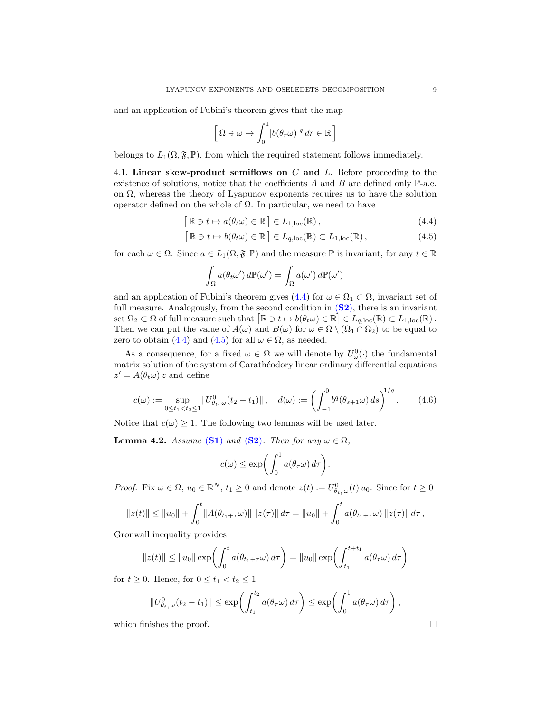and an application of Fubini's theorem gives that the map

$$
\left[\Omega\ni\omega\mapsto\int_0^1|b(\theta_r\omega)|^q\,dr\in\mathbb{R}\right]
$$

belongs to  $L_1(\Omega, \mathfrak{F}, \mathbb{P})$ , from which the required statement follows immediately.

4.1. Linear skew-product semiflows on  $C$  and  $L$ . Before proceeding to the existence of solutions, notice that the coefficients  $A$  and  $B$  are defined only  $\mathbb{P}\text{-a.e.}$ on  $\Omega$ , whereas the theory of Lyapunov exponents requires us to have the solution operator defined on the whole of  $\Omega$ . In particular, we need to have

$$
[\mathbb{R} \ni t \mapsto a(\theta_t \omega) \in \mathbb{R}] \in L_{1,\mathrm{loc}}(\mathbb{R}), \tag{4.4}
$$

$$
[\mathbb{R} \ni t \mapsto b(\theta_t \omega) \in \mathbb{R}] \in L_{q,loc}(\mathbb{R}) \subset L_{1,loc}(\mathbb{R}), \tag{4.5}
$$

for each  $\omega \in \Omega$ . Since  $a \in L_1(\Omega, \mathfrak{F}, \mathbb{P})$  and the measure  $\mathbb P$  is invariant, for any  $t \in \mathbb{R}$ 

<span id="page-8-1"></span><span id="page-8-0"></span>
$$
\int_{\Omega} a(\theta_t \omega') d\mathbb{P}(\omega') = \int_{\Omega} a(\omega') d\mathbb{P}(\omega')
$$

and an application of Fubini's theorem gives [\(4.4\)](#page-8-0) for  $\omega \in \Omega_1 \subset \Omega$ , invariant set of full measure. Analogously, from the second condition in  $(S2)$  $(S2)$  $(S2)$ , there is an invariant set  $\Omega_2 \subset \Omega$  of full measure such that  $[\mathbb{R} \ni t \mapsto b(\theta_t \omega) \in \mathbb{R}] \in L_{q,loc}(\mathbb{R}) \subset L_{1,loc}(\mathbb{R})$ . Then we can put the value of  $A(\omega)$  and  $B(\omega)$  for  $\omega \in \Omega \setminus (\Omega_1 \cap \Omega_2)$  to be equal to zero to obtain [\(4.4\)](#page-8-0) and [\(4.5\)](#page-8-1) for all  $\omega \in \Omega$ , as needed.

As a consequence, for a fixed  $\omega \in \Omega$  we will denote by  $U^0_{\omega}(\cdot)$  the fundamental matrix solution of the system of Carathéodory linear ordinary differential equations  $z' = A(\theta_t \omega) z$  and define

<span id="page-8-2"></span>
$$
c(\omega) := \sup_{0 \le t_1 < t_2 \le 1} \| U_{\theta_{t_1}\omega}^0(t_2 - t_1) \|, \quad d(\omega) := \left( \int_{-1}^0 b^q(\theta_{s+1}\omega) \, ds \right)^{1/q}.
$$
 (4.6)

Notice that  $c(\omega) \geq 1$ . The following two lemmas will be used later.

<span id="page-8-3"></span>**Lemma 4.2.** *Assume* ([S1](#page-7-2)) *and* ([S2](#page-7-1))*. Then for any*  $\omega \in \Omega$ *,* 

$$
c(\omega) \le \exp\biggl(\int_0^1 a(\theta_\tau \omega) d\tau\biggr).
$$

*Proof.* Fix  $\omega \in \Omega$ ,  $u_0 \in \mathbb{R}^N$ ,  $t_1 \geq 0$  and denote  $z(t) := U_{\theta_{t_1}\omega}^0(t) u_0$ . Since for  $t \geq 0$ 

$$
||z(t)|| \le ||u_0|| + \int_0^t ||A(\theta_{t_1+\tau}\omega)|| \, ||z(\tau)|| \, d\tau = ||u_0|| + \int_0^t a(\theta_{t_1+\tau}\omega) \, ||z(\tau)|| \, d\tau,
$$

Gronwall inequality provides

$$
||z(t)|| \le ||u_0|| \exp\left(\int_0^t a(\theta_{t_1+\tau}\omega) d\tau\right) = ||u_0|| \exp\left(\int_{t_1}^{t+t_1} a(\theta_{\tau}\omega) d\tau\right)
$$

for  $t \geq 0$ . Hence, for  $0 \leq t_1 < t_2 \leq 1$ 

$$
||U^0_{\theta_{t_1}\omega}(t_2-t_1)|| \leq \exp\left(\int_{t_1}^{t_2} a(\theta_\tau \omega) d\tau\right) \leq \exp\left(\int_0^1 a(\theta_\tau \omega) d\tau\right),
$$

which finishes the proof.  $\Box$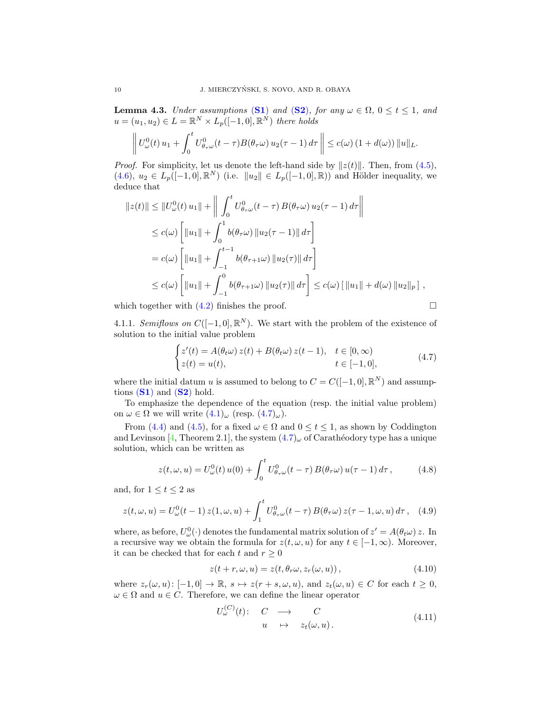<span id="page-9-3"></span>**Lemma 4.3.** *Under assumptions* ([S1](#page-7-2)) *and* ([S2](#page-7-1))*, for any*  $\omega \in \Omega$ ,  $0 \le t \le 1$ *, and*  $u = (u_1, u_2) \in L = \mathbb{R}^N \times L_p([-1, 0], \mathbb{R}^N)$  there holds

$$
\left\| U^0_\omega(t) u_1 + \int_0^t U^0_{\theta_\tau\omega}(t-\tau) B(\theta_\tau\omega) u_2(\tau-1) d\tau \right\| \leq c(\omega) \left(1 + d(\omega)\right) \|u\|_{L}.
$$

*Proof.* For simplicity, let us denote the left-hand side by  $||z(t)||$ . Then, from [\(4.5\)](#page-8-1),  $(4.6), u_2 \in L_p([-1,0], \mathbb{R}^N)$  $(4.6), u_2 \in L_p([-1,0], \mathbb{R}^N)$  (i.e.  $||u_2|| \in L_p([-1,0], \mathbb{R})$ ) and Hölder inequality, we deduce that

$$
||z(t)|| \le ||U_{\omega}^{0}(t) u_{1}|| + \left\| \int_{0}^{t} U_{\theta_{\tau}\omega}^{0}(t-\tau) B(\theta_{\tau}\omega) u_{2}(\tau-1) d\tau \right\|
$$
  
\n
$$
\le c(\omega) \left[ ||u_{1}|| + \int_{0}^{1} b(\theta_{\tau}\omega) ||u_{2}(\tau-1)|| d\tau \right]
$$
  
\n
$$
= c(\omega) \left[ ||u_{1}|| + \int_{-1}^{t-1} b(\theta_{\tau+1}\omega) ||u_{2}(\tau)|| d\tau \right]
$$
  
\n
$$
\le c(\omega) \left[ ||u_{1}|| + \int_{-1}^{0} b(\theta_{\tau+1}\omega) ||u_{2}(\tau)|| d\tau \right] \le c(\omega) \left[ ||u_{1}|| + d(\omega) ||u_{2}||_{p} \right],
$$

<span id="page-9-4"></span>which together with  $(4.2)$  finishes the proof.

$$
\Box
$$

4.1.1. *Semiflows on*  $C([-1,0], \mathbb{R}^N)$ . We start with the problem of the existence of solution to the initial value problem

<span id="page-9-0"></span>
$$
\begin{cases} z'(t) = A(\theta_t \omega) z(t) + B(\theta_t \omega) z(t-1), & t \in [0, \infty) \\ z(t) = u(t), & t \in [-1, 0], \end{cases}
$$
(4.7)

where the initial datum u is assumed to belong to  $C = C([-1, 0], \mathbb{R}^{N})$  and assumptions  $(S1)$  $(S1)$  $(S1)$  and  $(S2)$  $(S2)$  $(S2)$  hold.

To emphasize the dependence of the equation (resp. the initial value problem) on  $\omega \in \Omega$  we will write  $(4.1)_{\omega}$  (resp.  $(4.7)_{\omega}$ ).

From [\(4.4\)](#page-8-0) and [\(4.5\)](#page-8-1), for a fixed  $\omega \in \Omega$  and  $0 \le t \le 1$ , as shown by Coddington and Levinson [\[4,](#page-18-7) Theorem 2.1], the system  $(4.7)_{\omega}$  of Carathéodory type has a unique solution, which can be written as

<span id="page-9-2"></span>
$$
z(t,\omega,u) = U^0_{\omega}(t) u(0) + \int_0^t U^0_{\theta_{\tau}\omega}(t-\tau) B(\theta_{\tau}\omega) u(\tau-1) d\tau, \qquad (4.8)
$$

and, for  $1 \le t \le 2$  as

$$
z(t,\omega,u) = U^0_{\omega}(t-1) z(1,\omega,u) + \int_1^t U^0_{\theta\tau\omega}(t-\tau) B(\theta_\tau\omega) z(\tau-1,\omega,u) d\tau, \quad (4.9)
$$

where, as before,  $U^0_\omega(\cdot)$  denotes the fundamental matrix solution of  $z' = A(\theta_t \omega) z$ . In a recursive way we obtain the formula for  $z(t, \omega, u)$  for any  $t \in [-1, \infty)$ . Moreover, it can be checked that for each  $t$  and  $r\geq 0$ 

<span id="page-9-1"></span>
$$
z(t+r, \omega, u) = z(t, \theta_r \omega, z_r(\omega, u)), \qquad (4.10)
$$

where  $z_r(\omega, u): [-1, 0] \to \mathbb{R}, s \mapsto z(r + s, \omega, u)$ , and  $z_t(\omega, u) \in C$  for each  $t \geq 0$ ,  $\omega \in \Omega$  and  $u \in C$ . Therefore, we can define the linear operator

$$
U_{\omega}^{(C)}(t): \quad C \quad \longrightarrow \quad C
$$
  
\n
$$
u \quad \mapsto \quad z_t(\omega, u). \tag{4.11}
$$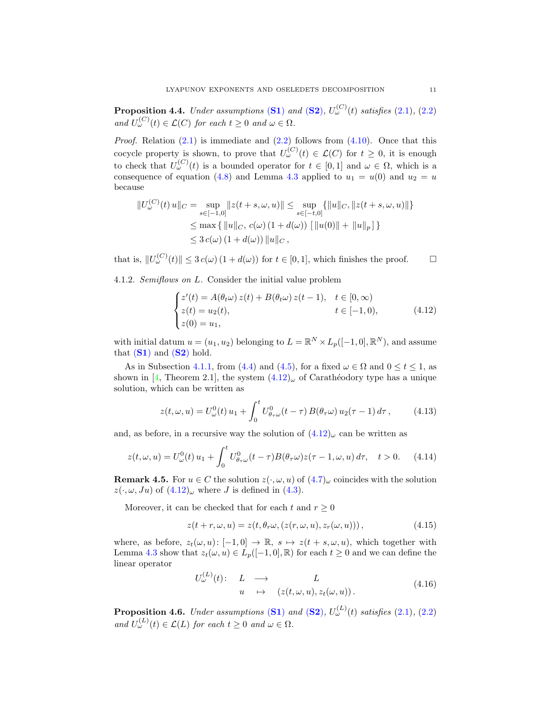<span id="page-10-3"></span>**Proposition 4.4.** *Under assumptions* ([S1](#page-7-2)) and ([S2](#page-7-1)),  $U^{(C)}_{\omega}(t)$  satisfies [\(2.1\)](#page-2-2), [\(2.2\)](#page-2-1) *and*  $U_{\omega}^{(C)}(t) \in \mathcal{L}(C)$  *for each*  $t \geq 0$  *and*  $\omega \in \Omega$ *.* 

*Proof.* Relation  $(2.1)$  is immediate and  $(2.2)$  follows from  $(4.10)$ . Once that this cocycle property is shown, to prove that  $U_{\omega}^{(C)}(t) \in \mathcal{L}(C)$  for  $t \geq 0$ , it is enough to check that  $U_{\omega}^{(C)}(t)$  is a bounded operator for  $t \in [0,1]$  and  $\omega \in \Omega$ , which is a consequence of equation [\(4.8\)](#page-9-2) and Lemma [4.3](#page-9-3) applied to  $u_1 = u(0)$  and  $u_2 = u$ because

$$
||U_{\omega}^{(C)}(t) u||_{C} = \sup_{s \in [-1,0]} ||z(t+s,\omega,u)|| \le \sup_{s \in [-t,0]} \{ ||u||_{C}, ||z(t+s,\omega,u)|| \}
$$
  

$$
\le \max \{ ||u||_{C}, c(\omega) (1 + d(\omega)) [||u(0)|| + ||u||_{p} ] \}
$$
  

$$
\le 3 c(\omega) (1 + d(\omega)) ||u||_{C},
$$

that is,  $||U_{\omega}^{(C)}(t)|| \leq 3 c(\omega) (1 + d(\omega))$  for  $t \in [0, 1]$ , which finishes the proof.  $\square$ 

4.1.2. *Semiflows on* L*.* Consider the initial value problem

<span id="page-10-0"></span>
$$
\begin{cases}\n z'(t) = A(\theta_t \omega) z(t) + B(\theta_t \omega) z(t-1), & t \in [0, \infty) \\
z(t) = u_2(t), & t \in [-1, 0), \\
z(0) = u_1,\n\end{cases} (4.12)
$$

with initial datum  $u = (u_1, u_2)$  belonging to  $L = \mathbb{R}^N \times L_p([-1, 0], \mathbb{R}^N)$ , and assume that  $(S1)$  $(S1)$  $(S1)$  and  $(S2)$  $(S2)$  $(S2)$  hold.

As in Subsection [4.1.1,](#page-9-4) from [\(4.4\)](#page-8-0) and [\(4.5\)](#page-8-1), for a fixed  $\omega \in \Omega$  and  $0 \le t \le 1$ , as shown in [\[4,](#page-18-7) Theorem 2.1], the system  $(4.12)_{\omega}$  of Carathéodory type has a unique solution, which can be written as

<span id="page-10-2"></span>
$$
z(t,\omega,u) = U^0_{\omega}(t)u_1 + \int_0^t U^0_{\theta_{\tau}\omega}(t-\tau) B(\theta_{\tau}\omega) u_2(\tau-1) d\tau, \qquad (4.13)
$$

and, as before, in a recursive way the solution of  $(4.12)_{\omega}$  can be written as

$$
z(t,\omega,u) = U^0_{\omega}(t)u_1 + \int_0^t U^0_{\theta_\tau\omega}(t-\tau)B(\theta_\tau\omega)z(\tau-1,\omega,u) d\tau, \quad t > 0. \tag{4.14}
$$

<span id="page-10-4"></span>**Remark 4.5.** For  $u \in C$  the solution  $z(\cdot, \omega, u)$  of  $(4.7)_{\omega}$  coincides with the solution  $z(\cdot, \omega, Ju)$  of  $(4.12)_{\omega}$  where J is defined in  $(4.3)$ .

Moreover, it can be checked that for each t and  $r \geq 0$ 

<span id="page-10-1"></span>
$$
z(t+r, \omega, u) = z(t, \theta_r \omega, (z(r, \omega, u), z_r(\omega, u))), \qquad (4.15)
$$

where, as before,  $z_t(\omega, u): [-1, 0] \to \mathbb{R}$ ,  $s \mapsto z(t + s, \omega, u)$ , which together with Lemma [4.3](#page-9-3) show that  $z_t(\omega, u) \in L_p([-1, 0], \mathbb{R})$  for each  $t \geq 0$  and we can define the linear operator

$$
U_{\omega}^{(L)}(t): \quad L \quad \longrightarrow \quad L
$$
  
\n
$$
u \quad \mapsto \quad (z(t, \omega, u), z_t(\omega, u)). \tag{4.16}
$$

<span id="page-10-5"></span>**Proposition 4.6.** *Under assumptions* ([S1](#page-7-2)) and ([S2](#page-7-1)),  $U_{\omega}^{(L)}(t)$  satisfies [\(2.1\)](#page-2-2), [\(2.2\)](#page-2-1) and  $U_{\omega}^{(L)}(t) \in \mathcal{L}(L)$  *for each*  $t \geq 0$  *and*  $\omega \in \Omega$ *.*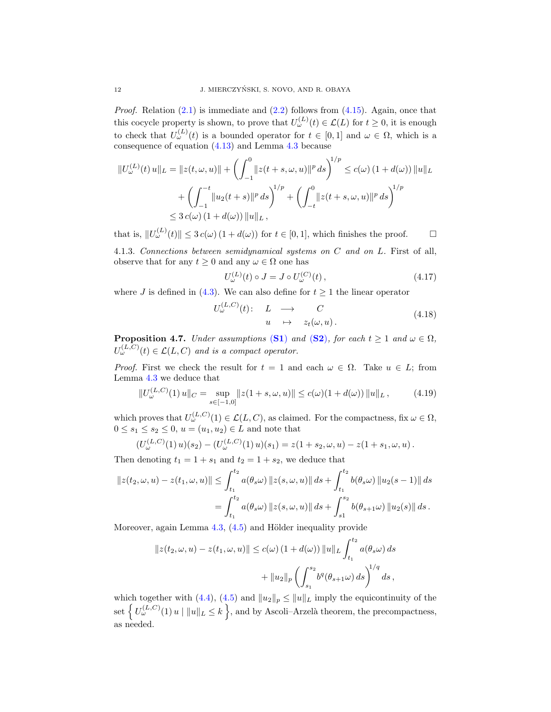*Proof.* Relation  $(2.1)$  is immediate and  $(2.2)$  follows from  $(4.15)$ . Again, once that this cocycle property is shown, to prove that  $U_{\omega}^{(L)}(t) \in \mathcal{L}(L)$  for  $t \geq 0$ , it is enough to check that  $U_{\omega}^{(L)}(t)$  is a bounded operator for  $t \in [0,1]$  and  $\omega \in \Omega$ , which is a consequence of equation [\(4.13\)](#page-10-2) and Lemma [4.3](#page-9-3) because

$$
||U_{\omega}^{(L)}(t) u||_{L} = ||z(t, \omega, u)|| + \left(\int_{-1}^{0} ||z(t + s, \omega, u)||^{p} ds\right)^{1/p} \le c(\omega) (1 + d(\omega)) ||u||_{L}
$$
  
+  $\left(\int_{-1}^{-t} ||u_{2}(t + s)||^{p} ds\right)^{1/p} + \left(\int_{-t}^{0} ||z(t + s, \omega, u)||^{p} ds\right)^{1/p}$   
 $\le 3 c(\omega) (1 + d(\omega)) ||u||_{L},$ 

that is,  $||U_{\omega}^{(L)}(t)|| \leq 3 c(\omega) (1 + d(\omega))$  for  $t \in [0, 1]$ , which finishes the proof.  $\square$ 

4.1.3. *Connections between semidynamical systems on* C *and on* L*.* First of all, observe that for any  $t \geq 0$  and any  $\omega \in \Omega$  one has

<span id="page-11-1"></span>
$$
U_{\omega}^{(L)}(t) \circ J = J \circ U_{\omega}^{(C)}(t) , \qquad (4.17)
$$

where J is defined in [\(4.3\)](#page-7-4). We can also define for  $t \geq 1$  the linear operator

$$
U_{\omega}^{(L,C)}(t): L \longrightarrow C
$$
  
\n
$$
u \mapsto z_t(\omega, u).
$$
\n(4.18)

**Proposition 4.7.** *Under assumptions* ([S1](#page-7-2)) *and* ([S2](#page-7-1))*, for each*  $t \ge 1$  *and*  $\omega \in \Omega$ *,*  $U_{\omega}^{(L,C)}(t) \in \mathcal{L}(L,C)$  and is a compact operator.

*Proof.* First we check the result for  $t = 1$  and each  $\omega \in \Omega$ . Take  $u \in L$ ; from Lemma [4.3](#page-9-3) we deduce that

<span id="page-11-0"></span>
$$
||U_{\omega}^{(L,C)}(1)u||_{C} = \sup_{s \in [-1,0]} ||z(1+s,\omega,u)|| \le c(\omega)(1+d(\omega)) ||u||_{L}, \qquad (4.19)
$$

which proves that  $U_{\omega}^{(L,C)}(1) \in \mathcal{L}(L,C)$ , as claimed. For the compactness, fix  $\omega \in \Omega$ ,  $0 \le s_1 \le s_2 \le 0, u = (u_1, u_2) \in L$  and note that

$$
(U_{\omega}^{(L,C)}(1) u)(s_2) - (U_{\omega}^{(L,C)}(1) u)(s_1) = z(1 + s_2, \omega, u) - z(1 + s_1, \omega, u).
$$

Then denoting  $t_1 = 1 + s_1$  and  $t_2 = 1 + s_2$ , we deduce that

$$
||z(t_2, \omega, u) - z(t_1, \omega, u)|| \le \int_{t_1}^{t_2} a(\theta_s \omega) ||z(s, \omega, u)|| ds + \int_{t_1}^{t_2} b(\theta_s \omega) ||u_2(s - 1)|| ds
$$
  
= 
$$
\int_{t_1}^{t_2} a(\theta_s \omega) ||z(s, \omega, u)|| ds + \int_{s_1}^{s_2} b(\theta_{s+1} \omega) ||u_2(s)|| ds.
$$

Moreover, again Lemma  $4.3$ ,  $(4.5)$  and Hölder inequality provide

$$
||z(t_2, \omega, u) - z(t_1, \omega, u)|| \le c(\omega) (1 + d(\omega)) ||u||_L \int_{t_1}^{t_2} a(\theta_s \omega) ds + ||u_2||_p \left( \int_{s_1}^{s_2} b^q(\theta_{s+1} \omega) ds \right)^{1/q} ds,
$$

which together with [\(4.4\)](#page-8-0), [\(4.5\)](#page-8-1) and  $||u_2||_p \le ||u||_L$  imply the equicontinuity of the set  $\left\{ U_{\omega}^{(L,C)}(1) u \mid ||u||_{L} \leq k \right\}$ , and by Ascoli–Arzelà theorem, the precompactness, as needed.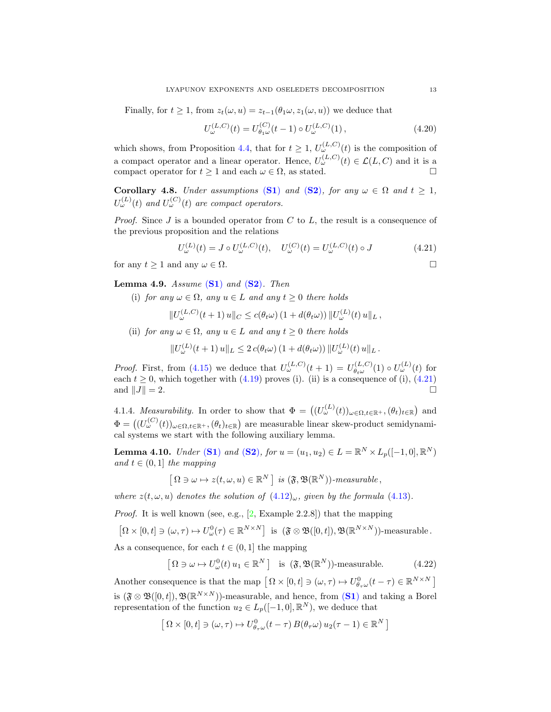Finally, for  $t \geq 1$ , from  $z_t(\omega, u) = z_{t-1}(\theta_1 \omega, z_1(\omega, u))$  we deduce that

<span id="page-12-4"></span>
$$
U_{\omega}^{(L,C)}(t) = U_{\theta_1\omega}^{(C)}(t-1) \circ U_{\omega}^{(L,C)}(1), \qquad (4.20)
$$

which shows, from Proposition [4.4,](#page-10-3) that for  $t \geq 1$ ,  $U_{\omega}^{(L,C)}(t)$  is the composition of a compact operator and a linear operator. Hence,  $U_{\omega}^{(L,C)}(t) \in \mathcal{L}(L,C)$  and it is a compact operator for  $t \geq 1$  and each  $\omega \in \Omega$ , as stated.

Corollary 4.8. *Under assumptions* ([S1](#page-7-2)) *and* ([S2](#page-7-1))*, for any*  $\omega \in \Omega$  *and*  $t \ge 1$ *,*  $U_{\omega}^{(L)}(t)$  and  $U_{\omega}^{(C)}(t)$  are compact operators.

*Proof.* Since J is a bounded operator from C to L, the result is a consequence of the previous proposition and the relations

<span id="page-12-0"></span>
$$
U_{\omega}^{(L)}(t) = J \circ U_{\omega}^{(L,C)}(t), \quad U_{\omega}^{(C)}(t) = U_{\omega}^{(L,C)}(t) \circ J \tag{4.21}
$$

for any  $t \geq 1$  and any  $\omega \in \Omega$ .

<span id="page-12-3"></span>Lemma 4.9. *Assume* ([S1](#page-7-2)) *and* ([S2](#page-7-1))*. Then*

(i) *for any*  $\omega \in \Omega$ *, any*  $u \in L$  *and any*  $t \geq 0$  *there holds* 

$$
||U_{\omega}^{(L,C)}(t+1) u||_{C} \leq c(\theta_t \omega) (1 + d(\theta_t \omega)) ||U_{\omega}^{(L)}(t) u||_{L},
$$

(ii) *for any*  $\omega \in \Omega$ *, any*  $u \in L$  *and any*  $t \geq 0$  *there holds* 

$$
||U_{\omega}^{(L)}(t+1) u||L \leq 2 c(\theta_t \omega) (1 + d(\theta_t \omega)) ||U_{\omega}^{(L)}(t) u||L.
$$

*Proof.* First, from [\(4.15\)](#page-10-1) we deduce that  $U_{\omega}^{(L,C)}(t+1) = U_{\theta+\omega}^{(L,C)}$  $U_{\theta_t\omega}^{(L,C)}(1) \circ U_{\omega}^{(L)}(t)$  for each  $t \geq 0$ , which together with  $(4.19)$  proves (i). (ii) is a consequence of (i),  $(4.21)$ and  $||J|| = 2$ .

4.1.4. *Measurability*. In order to show that  $\Phi = ((U^{(L)}_{\omega}(t))_{\omega \in \Omega, t \in \mathbb{R}^+}, (\theta_t)_{t \in \mathbb{R}})$  and  $\Phi = \left( (U_{\omega}^{(C)}(t))_{\omega \in \Omega, t \in \mathbb{R}^+}, (\theta_t)_{t \in \mathbb{R}} \right)$  are measurable linear skew-product semidynamical systems we start with the following auxiliary lemma.

<span id="page-12-2"></span>**Lemma 4.10.** *Under* ([S1](#page-7-2)) *and* ([S2](#page-7-1)), *for*  $u = (u_1, u_2) \in L = \mathbb{R}^N \times L_p([-1, 0], \mathbb{R}^N)$ *and*  $t \in (0,1]$  *the mapping* 

$$
\left[\Omega\ni\omega\mapsto z(t,\omega,u)\in\mathbb{R}^N\,\right]\;is\;(\mathfrak{F},\mathfrak{B}(\mathbb{R}^N))\text{-}measurable}\,,
$$

*where*  $z(t, \omega, u)$  *denotes the solution of*  $(4.12)_{\omega}$  $(4.12)_{\omega}$ *, given by the formula*  $(4.13)$ *.* 

*Proof.* It is well known (see, e.g., [\[2,](#page-18-8) Example 2.2.8]) that the mapping

$$
\left[\Omega\times[0,t]\ni(\omega,\tau)\mapsto U^0_{\omega}(\tau)\in\mathbb{R}^{N\times N}\right] \text{ is } (\mathfrak{F}\otimes\mathfrak{B}([0,t]),\mathfrak{B}(\mathbb{R}^{N\times N}))\text{-measurable.}
$$

As a consequence, for each  $t \in (0, 1]$  the mapping

<span id="page-12-1"></span>
$$
\left[\Omega \ni \omega \mapsto U_{\omega}^{0}(t) u_{1} \in \mathbb{R}^{N}\right] \text{ is } (\mathfrak{F}, \mathfrak{B}(\mathbb{R}^{N}))\text{-measurable.}
$$
 (4.22)

Another consequence is that the map  $\left[\Omega \times [0, t] \ni (\omega, \tau) \mapsto U_{\theta_{\tau}\omega}^0(t - \tau) \in \mathbb{R}^{N \times N}\right]$ is  $(\mathfrak{F} \otimes \mathfrak{B}([0,t]), \mathfrak{B}(\mathbb{R}^{N \times N}))$ -measurable, and hence, from  $(S1)$  $(S1)$  $(S1)$  and taking a Borel representation of the function  $u_2 \in L_p([-1,0],\mathbb{R}^N)$ , we deduce that

$$
\left[\Omega\times[0,t]\ni(\omega,\tau)\mapsto U^0_{\theta_{\tau}\omega}(t-\tau)\,B(\theta_{\tau}\omega)\,u_2(\tau-1)\in\mathbb{R}^N\,\right]
$$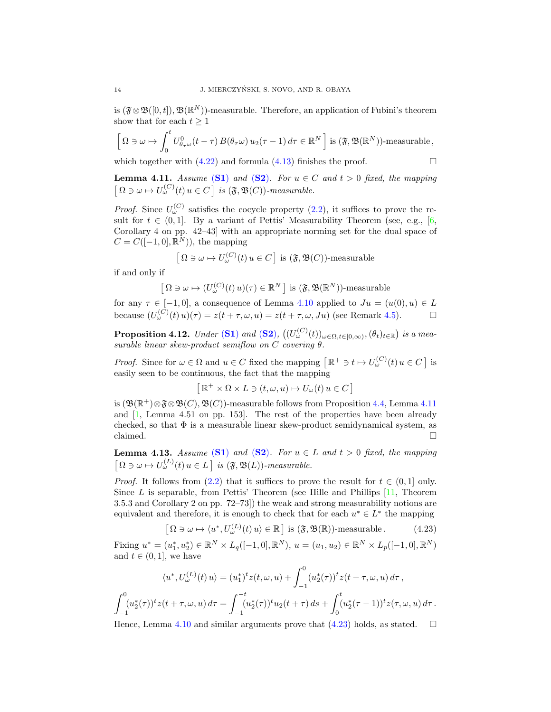is  $(\mathfrak{F}\otimes \mathfrak{B}([0,t]),\mathfrak{B}(\mathbb{R}^N))$ -measurable. Therefore, an application of Fubini's theorem show that for each  $t \geq 1$ 

$$
\left[\Omega\ni\omega\mapsto\int_0^t U^0_{\theta_\tau\omega}(t-\tau)\,B(\theta_\tau\omega)\,u_2(\tau-1)\,d\tau\in\mathbb{R}^N\,\right]\text{is}\,(\mathfrak{F},\mathfrak{B}(\mathbb{R}^N))\text{-measurable},
$$

which together with  $(4.22)$  and formula  $(4.13)$  finishes the proof.

<span id="page-13-0"></span>**Lemma 4.11.** *Assume* ([S1](#page-7-2)) *and* ([S2](#page-7-1))*.* For  $u \in C$  *and*  $t > 0$  *fixed, the mapping*  $\left[ \Omega \ni \omega \mapsto U_{\omega}^{(C)}(t) \, u \in C \right]$  is  $(\mathfrak{F}, \mathfrak{B}(C))$ -measurable.

*Proof.* Since  $U_{\omega}^{(C)}$  satisfies the cocycle property [\(2.2\)](#page-2-1), it suffices to prove the result for  $t \in (0, 1]$ . By a variant of Pettis' Measurability Theorem (see, e.g., [\[6,](#page-18-9) Corollary 4 on pp. 42–43] with an appropriate norming set for the dual space of  $C = C([-1, 0], \mathbb{R}^{N})$ , the mapping

$$
\left[\Omega \ni \omega \mapsto U_{\omega}^{(C)}(t) \, u \in C\right] \text{ is } (\mathfrak{F}, \mathfrak{B}(C))\text{-measurable}
$$

if and only if

$$
\left[\Omega \ni \omega \mapsto (U_{\omega}^{(C)}(t) u)(\tau) \in \mathbb{R}^{N} \right] \text{ is } (\mathfrak{F}, \mathfrak{B}(\mathbb{R}^{N}))\text{-measurable}
$$

for any  $\tau \in [-1,0]$ , a consequence of Lemma [4.10](#page-12-2) applied to  $Ju = (u(0), u) \in L$ because  $(U_{\omega}^{(C)}(t)u)(\tau) = z(t + \tau, \omega, u) = z(t + \tau, \omega, Ju)$  (see Remark [4.5\)](#page-10-4).

<span id="page-13-2"></span>Proposition 4.12. *Under* ([S1](#page-7-2)) and ([S2](#page-7-1)),  $((U^{(C)}_{\omega}(t))_{\omega \in \Omega, t \in [0,\infty)}, (\theta_t)_{t \in \mathbb{R}})$  is a mea*surable linear skew-product semiflow on* C *covering* θ*.*

*Proof.* Since for  $\omega \in \Omega$  and  $u \in C$  fixed the mapping  $\left[\mathbb{R}^+ \ni t \mapsto U_{\omega}^{(C)}(t) u \in C\right]$  is easily seen to be continuous, the fact that the mapping

$$
\left[ \mathbb{R}^+ \times \Omega \times L \ni (t, \omega, u) \mapsto U_{\omega}(t) \, u \in C \right]
$$

is  $(\mathfrak{B}(\mathbb{R}^+) \otimes \mathfrak{F} \otimes \mathfrak{B}(C), \mathfrak{B}(C))$ -measurable follows from Proposition [4.4,](#page-10-3) Lemma [4.11](#page-13-0) and  $[1, \text{ Lemma } 4.51 \text{ on pp. } 153]$ . The rest of the properties have been already checked, so that  $\Phi$  is a measurable linear skew-product semidynamical system, as claimed.  $\square$ 

<span id="page-13-3"></span>**Lemma 4.13.** *Assume* ([S1](#page-7-2)) *and* ([S2](#page-7-1))*. For*  $u \in L$  *and*  $t > 0$  *fixed, the mapping*  $\left[\Omega \ni \omega \mapsto U_{\omega}^{(L)}(t) \, u \in L\right]$  is  $(\mathfrak{F}, \mathfrak{B}(L))$ -measurable.

*Proof.* It follows from [\(2.2\)](#page-2-1) that it suffices to prove the result for  $t \in (0,1]$  only. Since  $L$  is separable, from Pettis' Theorem (see Hille and Phillips  $[11,$  Theorem 3.5.3 and Corollary 2 on pp. 72–73]) the weak and strong measurability notions are equivalent and therefore, it is enough to check that for each  $u^* \in L^*$  the mapping

<span id="page-13-1"></span>
$$
\left[\Omega \ni \omega \mapsto \langle u^*, U_{\omega}^{(L)}(t) u \rangle \in \mathbb{R}\right] \text{ is } (\mathfrak{F}, \mathfrak{B}(\mathbb{R})) \text{-measurable.} \tag{4.23}
$$

Fixing  $u^* = (u_1^*, u_2^*) \in \mathbb{R}^N \times L_q([-1, 0], \mathbb{R}^N), u = (u_1, u_2) \in \mathbb{R}^N \times L_p([-1, 0], \mathbb{R}^N)$ and  $t \in (0,1]$ , we have

$$
\langle u^*, U_{\omega}^{(L)}(t) u \rangle = (u_1^*)^t z(t, \omega, u) + \int_{-1}^0 (u_2^*(\tau))^t z(t + \tau, \omega, u) d\tau,
$$
  

$$
\int_{-1}^0 (u_2^*(\tau))^t z(t + \tau, \omega, u) d\tau = \int_{-1}^{-t} (u_2^*(\tau))^t u_2(t + \tau) ds + \int_0^t (u_2^*(\tau - 1))^t z(\tau, \omega, u) d\tau.
$$

Hence, Lemma [4.10](#page-12-2) and similar arguments prove that  $(4.23)$  holds, as stated.  $\square$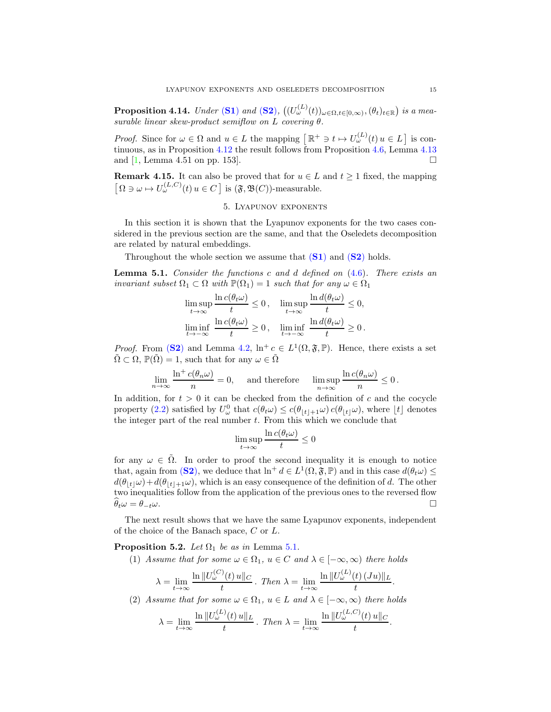Proposition 4.14. *Under* ([S1](#page-7-2)) and ([S2](#page-7-1)),  $((U^{(L)}_{\omega}(t))_{\omega \in \Omega, t \in [0,\infty)}, (\theta_t)_{t \in \mathbb{R}})$  is a mea*surable linear skew-product semiflow on* L *covering* θ*.*

*Proof.* Since for  $\omega \in \Omega$  and  $u \in L$  the mapping  $\left[\mathbb{R}^+ \ni t \mapsto U_{\omega}^{(L)}(t) u \in L\right]$  is continuous, as in Proposition [4.12](#page-13-2) the result follows from Proposition [4.6,](#page-10-5) Lemma [4.13](#page-13-3) and  $[1, \text{Lemma } 4.51 \text{ on pp. } 153].$ 

<span id="page-14-0"></span>**Remark 4.15.** It can also be proved that for  $u \in L$  and  $t \ge 1$  fixed, the mapping  $\left[ \Omega \ni \omega \mapsto U_{\omega}^{(L,C)}(t) \, u \in C \right]$  is  $(\mathfrak{F}, \mathfrak{B}(C))$ -measurable.

# 5. Lyapunov exponents

In this section it is shown that the Lyapunov exponents for the two cases considered in the previous section are the same, and that the Oseledets decomposition are related by natural embeddings.

Throughout the whole section we assume that  $(S1)$  $(S1)$  $(S1)$  and  $(S2)$  $(S2)$  $(S2)$  holds.

<span id="page-14-1"></span>Lemma 5.1. *Consider the functions* c *and* d *defined on* [\(4.6\)](#page-8-2)*. There exists an invariant subset*  $\Omega_1 \subset \Omega$  *with*  $\mathbb{P}(\Omega_1) = 1$  *such that for any*  $\omega \in \Omega_1$ 

$$
\limsup_{t \to \infty} \frac{\ln c(\theta_t \omega)}{t} \le 0, \quad \limsup_{t \to \infty} \frac{\ln d(\theta_t \omega)}{t} \le 0,
$$
  

$$
\liminf_{t \to -\infty} \frac{\ln c(\theta_t \omega)}{t} \ge 0, \quad \liminf_{t \to -\infty} \frac{\ln d(\theta_t \omega)}{t} \ge 0.
$$

*Proof.* From ([S2](#page-7-1)) and Lemma [4.2,](#page-8-3)  $\ln^+ c \in L^1(\Omega, \mathfrak{F}, \mathbb{P})$ . Hence, there exists a set  $\tilde{\Omega} \subset \Omega$ ,  $\mathbb{P}(\tilde{\Omega}) = 1$ , such that for any  $\omega \in \tilde{\Omega}$ 

$$
\lim_{n \to \infty} \frac{\ln^+ c(\theta_n \omega)}{n} = 0, \quad \text{ and therefore } \quad \limsup_{n \to \infty} \frac{\ln c(\theta_n \omega)}{n} \le 0.
$$

In addition, for  $t > 0$  it can be checked from the definition of c and the cocycle property [\(2.2\)](#page-2-1) satisfied by  $U^0_\omega$  that  $c(\theta_t\omega) \leq c(\theta_{\lfloor t \rfloor+1}\omega) c(\theta_{\lfloor t \rfloor}\omega)$ , where  $\lfloor t \rfloor$  denotes the integer part of the real number  $t$ . From this which we conclude that

$$
\limsup_{t \to \infty} \frac{\ln c(\theta_t \omega)}{t} \le 0
$$

for any  $\omega \in \tilde{\Omega}$ . In order to proof the second inequality it is enough to notice that, again from ([S2](#page-7-1)), we deduce that  $\ln^+ d \in L^1(\Omega, \mathfrak{F}, \mathbb{P})$  and in this case  $d(\theta_t \omega) \leq$  $d(\theta_{|t|}\omega)+d(\theta_{|t|+1}\omega)$ , which is an easy consequence of the definition of d. The other two inequalities follow from the application of the previous ones to the reversed flow  $\widehat{\theta}_t \omega = \theta_{-t} \omega.$ 

The next result shows that we have the same Lyapunov exponents, independent of the choice of the Banach space, C or L.

<span id="page-14-2"></span>**Proposition 5.2.** *Let*  $\Omega_1$  *be as in* Lemma [5.1](#page-14-1)*.* 

(1) *Assume that for some*  $\omega \in \Omega_1$ ,  $u \in C$  *and*  $\lambda \in [-\infty, \infty)$  *there holds* 

$$
\lambda = \lim_{t \to \infty} \frac{\ln \|U_{\omega}^{(C)}(t) u\|_{C}}{t} . \text{ Then } \lambda = \lim_{t \to \infty} \frac{\ln \|U_{\omega}^{(L)}(t) (Ju)\|_{L}}{t} .
$$

(2) *Assume that for some*  $\omega \in \Omega_1$ ,  $u \in L$  *and*  $\lambda \in [-\infty, \infty)$  *there holds* 

$$
\lambda = \lim_{t \to \infty} \frac{\ln \|U_{\omega}^{(L)}(t) u\|_{L}}{t} \quad \text{Then } \lambda = \lim_{t \to \infty} \frac{\ln \|U_{\omega}^{(L,C)}(t) u\|_{C}}{t}.
$$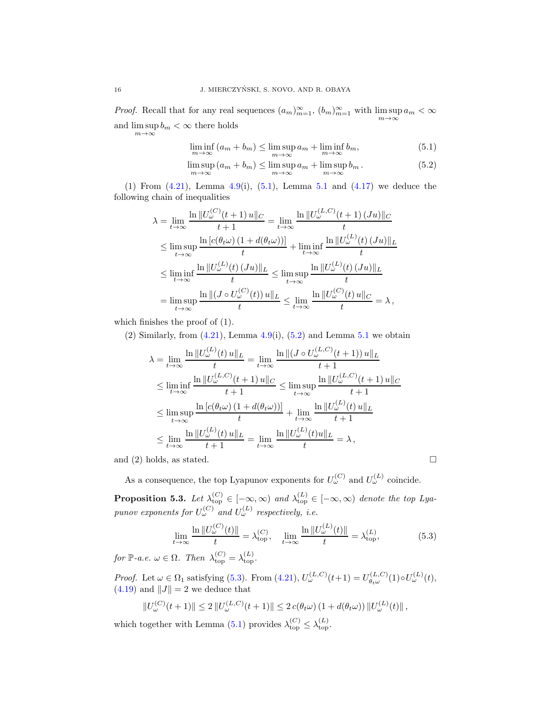*Proof.* Recall that for any real sequences  $(a_m)_{m=1}^{\infty}$ ,  $(b_m)_{m=1}^{\infty}$  with  $\limsup_{m\to\infty} a_m < \infty$ and  $\limsup_{m \to \infty} b_m < \infty$  there holds

<span id="page-15-1"></span><span id="page-15-0"></span>
$$
\liminf_{m \to \infty} (a_m + b_m) \le \limsup_{m \to \infty} a_m + \liminf_{m \to \infty} b_m,\tag{5.1}
$$

$$
\limsup_{m \to \infty} (a_m + b_m) \le \limsup_{m \to \infty} a_m + \limsup_{m \to \infty} b_m.
$$
\n(5.2)

(1) From  $(4.21)$ , Lemma  $4.9(i)$  $4.9(i)$ ,  $(5.1)$  $(5.1)$  $(5.1)$ , Lemma  $5.1$  and  $(4.17)$  we deduce the following chain of inequalities

$$
\lambda = \lim_{t \to \infty} \frac{\ln \|U_{\omega}^{(C)}(t+1) u\|_{C}}{t+1} = \lim_{t \to \infty} \frac{\ln \|U_{\omega}^{(L,C)}(t+1) (Ju)\|_{C}}{t}
$$
  
\n
$$
\leq \limsup_{t \to \infty} \frac{\ln [c(\theta_{t}\omega) (1 + d(\theta_{t}\omega))] }{t} + \liminf_{t \to \infty} \frac{\ln \|U_{\omega}^{(L)}(t) (Ju)\|_{L}}{t}
$$
  
\n
$$
\leq \liminf_{t \to \infty} \frac{\ln \|U_{\omega}^{(L)}(t) (Ju)\|_{L}}{t} \leq \limsup_{t \to \infty} \frac{\ln \|U_{\omega}^{(L)}(t) (Ju)\|_{L}}{t}
$$
  
\n
$$
= \limsup_{t \to \infty} \frac{\ln \| (J \circ U_{\omega}^{(C)}(t)) u \|_{L}}{t} \leq \lim_{t \to \infty} \frac{\ln \|U_{\omega}^{(C)}(t) u \|_{C}}{t} = \lambda,
$$

which finishes the proof of (1).

(2) Similarly, from  $(4.21)$ , Lemma  $4.9(i)$  $4.9(i)$ ,  $(5.2)$  and Lemma  $5.1$  we obtain

$$
\lambda = \lim_{t \to \infty} \frac{\ln \|U_{\omega}^{(L)}(t) u\|_{L}}{t} = \lim_{t \to \infty} \frac{\ln \|(J \circ U_{\omega}^{(L,C)}(t+1)) u\|_{L}}{t+1}
$$
\n
$$
\leq \liminf_{t \to \infty} \frac{\ln \|U_{\omega}^{(L,C)}(t+1) u\|_{C}}{t+1} \leq \limsup_{t \to \infty} \frac{\ln \|U_{\omega}^{(L,C)}(t+1) u\|_{C}}{t+1}
$$
\n
$$
\leq \limsup_{t \to \infty} \frac{\ln [c(\theta_t \omega) (1 + d(\theta_t \omega))] }{t} + \lim_{t \to \infty} \frac{\ln \|U_{\omega}^{(L)}(t) u\|_{L}}{t+1}
$$
\n
$$
\leq \lim_{t \to \infty} \frac{\ln \|U_{\omega}^{(L)}(t) u\|_{L}}{t+1} = \lim_{t \to \infty} \frac{\ln \|U_{\omega}^{(L)}(t) u\|_{L}}{t} = \lambda,
$$

and (2) holds, as stated.  $\square$ 

As a consequence, the top Lyapunov exponents for  $U_{\omega}^{(C)}$  and  $U_{\omega}^{(L)}$  coincide.

<span id="page-15-3"></span>**Proposition 5.3.** Let  $\lambda_{\text{top}}^{(C)} \in [-\infty, \infty)$  and  $\lambda_{\text{top}}^{(L)} \in [-\infty, \infty)$  denote the top Lya*punov exponents for*  $U_{\omega}^{(C)}$  and  $U_{\omega}^{(L)}$  respectively, i.e.

<span id="page-15-2"></span>
$$
\lim_{t \to \infty} \frac{\ln \| U_{\omega}^{(C)}(t) \|}{t} = \lambda_{\text{top}}^{(C)}, \quad \lim_{t \to \infty} \frac{\ln \| U_{\omega}^{(L)}(t) \|}{t} = \lambda_{\text{top}}^{(L)}, \tag{5.3}
$$

 $for \, \mathbb{P}\text{-}a.e. \, \omega \in \Omega.$  Then  $\lambda_{\text{top}}^{(C)} = \lambda_{\text{top}}^{(L)}$ .

*Proof.* Let  $\omega \in \Omega_1$  satisfying [\(5.3\)](#page-15-2). From [\(4.21\)](#page-12-0),  $U_{\omega}^{(L,C)}(t+1) = U_{\theta,\omega}^{(L,C)}$  $\theta_{t\omega}^{(L,C)}(1)\circ U_{\omega}^{(L)}(t),$  $(4.19)$  and  $||J|| = 2$  we deduce that

$$
||U_{\omega}^{(C)}(t+1)|| \leq 2 ||U_{\omega}^{(L,C)}(t+1)|| \leq 2 c(\theta_t \omega) (1 + d(\theta_t \omega)) ||U_{\omega}^{(L)}(t)||,
$$

which together with Lemma [\(5.1\)](#page-14-1) provides  $\lambda_{\text{top}}^{(C)} \leq \lambda_{\text{top}}^{(L)}$ .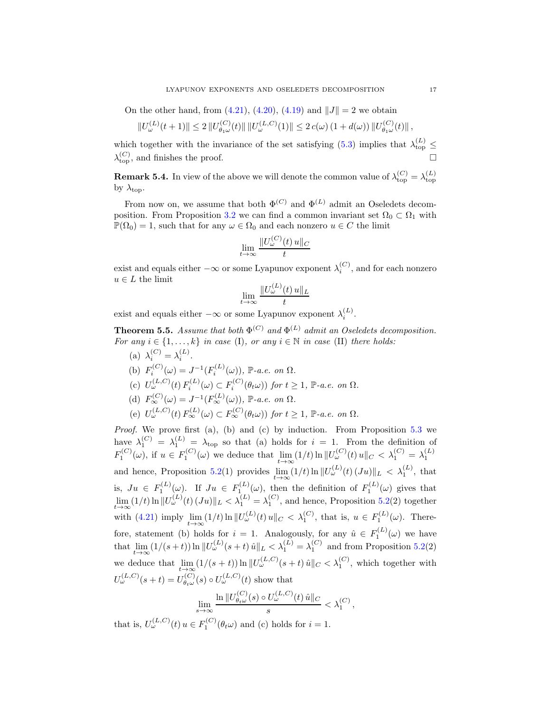On the other hand, from [\(4.21\)](#page-12-0), [\(4.20\)](#page-12-4), [\(4.19\)](#page-11-0) and  $||J|| = 2$  we obtain

$$
||U_{\omega}^{(L)}(t+1)|| \leq 2 ||U_{\theta_1\omega}^{(C)}(t)|| \, ||U_{\omega}^{(L,C)}(1)|| \leq 2 c(\omega) \left(1 + d(\omega)\right) ||U_{\theta_1\omega}^{(C)}(t)||,
$$

which together with the invariance of the set satisfying [\(5.3\)](#page-15-2) implies that  $\lambda_{\text{top}}^{(L)} \leq$  $\lambda_{\rm top}^{(C)}$ , and finishes the proof.

**Remark 5.4.** In view of the above we will denote the common value of  $\lambda_{\text{top}}^{(C)} = \lambda_{\text{top}}^{(L)}$ by  $\lambda_{\text{top}}$ .

From now on, we assume that both  $\Phi^{(C)}$  and  $\Phi^{(L)}$  admit an Oseledets decom-position. From Proposition [3.2](#page-5-1) we can find a common invariant set  $\Omega_0 \subset \Omega_1$  with  $\mathbb{P}(\Omega_0) = 1$ , such that for any  $\omega \in \Omega_0$  and each nonzero  $u \in C$  the limit

$$
\lim_{t \to \infty} \frac{\|U_{\omega}^{(C)}(t) u\|_C}{t}
$$

exist and equals either  $-\infty$  or some Lyapunov exponent  $\lambda_i^{(C)}$ , and for each nonzero  $u \in L$  the limit

$$
\lim_{t \to \infty} \frac{\|U_{\omega}^{(L)}(t) u\|_{L}}{t}
$$

exist and equals either  $-\infty$  or some Lyapunov exponent  $\lambda_i^{(L)}$ .

**Theorem 5.5.** Assume that both  $\Phi^{(C)}$  and  $\Phi^{(L)}$  admit an Oseledets decomposition. *For any*  $i \in \{1, \ldots, k\}$  *in case* (I)*, or any*  $i \in \mathbb{N}$  *in case* (II) *there holds:* 

(a)  $\lambda_i^{(C)} = \lambda_i^{(L)}$ . (b)  $F_i^{(C)}(\omega) = J^{-1}(F_i^{(L)}(\omega))$ , P-a.e. on  $\Omega$ . (c)  $U_{\omega}^{(L,C)}(t) F_i^{(L)}(\omega) \subset F_i^{(C)}(\theta_t \omega)$  *for*  $t \ge 1$ *,*  $\mathbb{P}\text{-}a.e.$  *on*  $\Omega$ *.* (d)  $F_{\infty}^{(C)}(\omega) = J^{-1}(F_{\infty}^{(L)}(\omega))$ , P-a.e. on  $\Omega$ . (e)  $U_{\omega}^{(L,C)}(t) F_{\infty}^{(L)}(\omega) \subset F_{\infty}^{(C)}(\theta_t \omega)$  *for*  $t \geq 1$ ,  $\mathbb{P}\text{-}a.e.$  on  $\Omega$ .

*Proof.* We prove first (a), (b) and (c) by induction. From Proposition [5.3](#page-15-3) we have  $\lambda_1^{(C)} = \lambda_1^{(L)} = \lambda_{\text{top}}$  so that (a) holds for  $i = 1$ . From the definition of  $F_1^{(C)}(\omega)$ , if  $u \in F_1^{(C)}(\omega)$  we deduce that  $\lim_{t \to \infty} (1/t) \ln ||U_{\omega}^{(C)}(t) ||_{C} < \lambda_1^{(C)} = \lambda_1^{(L)}$ and hence, Proposition [5.2\(](#page-14-2)1) provides  $\lim_{t\to\infty} (1/t) \ln ||U_{\omega}^{(L)}(t) (Ju)||_{L} < \lambda_1^{(L)}$ , that is,  $Ju \in F_1^{(L)}(\omega)$ . If  $Ju \in F_{1}^{(L)}(\omega)$ , then the definition of  $F_1^{(L)}(\omega)$  gives that  $\lim_{t\to\infty}(1/t)\ln\|U_{\omega}^{(L)}(t)(Ju)\|_{L} < \lambda_1^{(L)} = \lambda_1^{(C)}$ , and hence, Proposition [5.2\(](#page-14-2)2) together with [\(4.21\)](#page-12-0) imply  $\lim_{t\to\infty} (1/t) \ln ||U_{\omega}^{(L)}(t) u||_C < \lambda_1^{(C)}$ , that is,  $u \in F_1^{(L)}(\omega)$ . Therefore, statement (b) holds for  $i = 1$ . Analogously, for any  $\hat{u} \in F_1^{(L)}(\omega)$  we have that  $\lim_{t\to\infty} (1/(s+t)) \ln \|U_{\omega}^{(L)}(s+t) \hat{u}\|_{L} < \lambda_1^{(L)} = \lambda_1^{(C)}$  and from Proposition [5.2\(](#page-14-2)2) we deduce that  $\lim_{t\to\infty} (1/(s+t)) \ln ||U_{\omega}^{(L,C)}(s+t) \hat{u}||_C < \lambda_1^{(C)}$ , which together with  $U_{\omega}^{(L,C)}(s+t) = U_{\theta_{t\omega}}^{(C)}$  $U_{\theta_t\omega}^{(C)}(s) \circ U_{\omega}^{(L,C)}(t)$  show that

$$
\lim_{s \to \infty} \frac{\ln \|U_{\theta_t \omega}^{(C)}(s) \circ U_{\omega}^{(L,C)}(t) \hat{u}\|_C}{s} < \lambda_1^{(C)},
$$

that is,  $U_{\omega}^{(L,C)}(t)$   $u \in F_1^{(C)}(\theta_t \omega)$  and (c) holds for  $i = 1$ .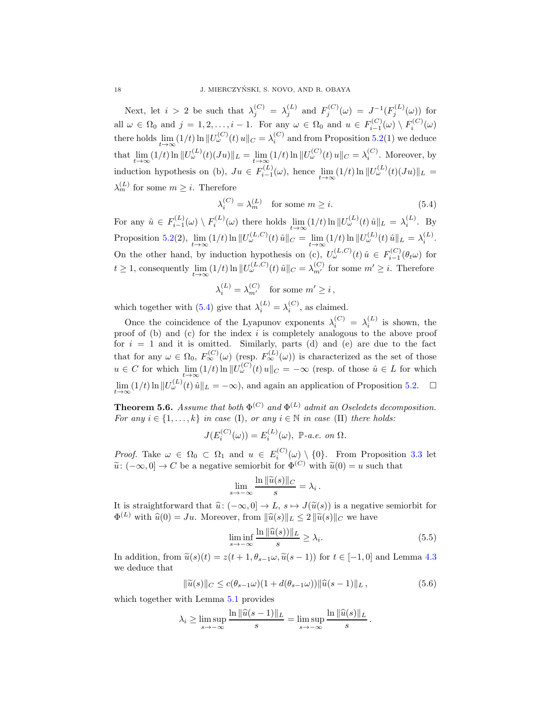Next, let  $i > 2$  be such that  $\lambda_j^{(C)} = \lambda_j^{(L)}$  and  $F_j^{(C)}(\omega) = J^{-1}(F_j^{(L)}(\omega))$  for all  $\omega \in \Omega_0$  and  $j = 1, 2, \ldots, i - 1$ . For any  $\omega \in \Omega_0$  and  $u \in F_{i-1}^{(C)}(\omega) \setminus F_i^{(C)}(\omega)$ there holds  $\lim_{t\to\infty}(1/t) \ln \|U_{\omega}^{(C)}(t)u\|_{C} = \lambda_i^{(C)}$  and from Proposition [5.2\(](#page-14-2)1) we deduce that  $\lim_{t \to \infty} (1/t) \ln ||U_{\omega}^{(L)}(t)(Ju)||_L = \lim_{t \to \infty} (1/t) \ln ||U_{\omega}^{(C)}(t)u||_C = \lambda_i^{(C)}$  $i^{\left(\mathcal{C}\right)}$ . Moreover, by induction hypothesis on (b),  $Ju \in F_{i-1}^{(L)}$  $\sum_{i=1}^{(L)} (ω)$ , hence  $\lim_{t \to \infty} (1/t) \ln ||U_{ω}^{(L)}(t)(Ju)||_L =$  $\lambda_m^{(L)}$  for some  $m \geq i$ . Therefore

<span id="page-17-0"></span>
$$
\lambda_i^{(C)} = \lambda_m^{(L)} \quad \text{for some } m \ge i. \tag{5.4}
$$

For any  $\hat{u} \in F_{i-1}^{(L)}(\omega) \setminus F_i^{(L)}(\omega)$  there holds  $\lim_{t \to \infty} (1/t) \ln ||U_{\omega}^{(L)}(t) \hat{u}||_L = \lambda_i^{(L)}$ . By Proposition [5.2\(](#page-14-2)2),  $\lim_{t \to \infty} (1/t) \ln \|U_{\omega}^{(L,C)}(t) \hat{u}\|_{C} = \lim_{t \to \infty} (1/t) \ln \|U_{\omega}^{(L)}(t) \hat{u}\|_{L} = \lambda_i^{(L)}$ . On the other hand, by induction hypothesis on (c),  $U_{\omega}^{(L,C)}(t)$   $\hat{u} \in F_{i-1}^{(C)}(\theta_t \omega)$  for  $t \geq 1$ , consequently  $\lim_{t \to \infty} (1/t) \ln ||U_{\omega}^{(L,C)}(t) \hat{u}||_C = \lambda_{m'}^{(C)}$  for some  $m' \geq i$ . Therefore

$$
\lambda_i^{(L)} = \lambda_{m'}^{(C)} \quad \text{for some } m' \ge i \,,
$$

which together with [\(5.4\)](#page-17-0) give that  $\lambda_i^{(L)} = \lambda_i^{(C)}$ , as claimed.

Once the coincidence of the Lyapunov exponents  $\lambda_i^{(C)} = \lambda_i^{(L)}$  is shown, the proof of (b) and (c) for the index  $i$  is completely analogous to the above proof for  $i = 1$  and it is omitted. Similarly, parts (d) and (e) are due to the fact that for any  $\omega \in \Omega_0$ ,  $F_{\infty}^{(C)}(\omega)$  (resp.  $F_{\infty}^{(L)}(\omega)$ ) is characterized as the set of those  $u \in C$  for which  $\lim_{t \to \infty} (1/t) \ln ||U_{\omega}^{(C)}(t) u||_C = -\infty$  (resp. of those  $\hat{u} \in L$  for which  $\lim_{t\to\infty}(1/t)\ln\|U_{\omega}^{(L)}(t)\hat{u}\|_{L}=-\infty$ , and again an application of Proposition [5.2.](#page-14-2)  $\Box$ 

**Theorem 5.6.** Assume that both  $\Phi^{(C)}$  and  $\Phi^{(L)}$  admit an Oseledets decomposition. *For any*  $i \in \{1, \ldots, k\}$  *in case* (I)*, or any*  $i \in \mathbb{N}$  *in case* (II) *there holds:* 

$$
J(E_i^{(C)}(\omega)) = E_i^{(L)}(\omega), \ \mathbb{P}\text{-}a.e. on \ \Omega.
$$

*Proof.* Take  $\omega \in \Omega_0 \subset \Omega_1$  and  $u \in E_i^{(C)}(\omega) \setminus \{0\}$ . From Proposition [3.3](#page-6-0) let  $\tilde{u}: (-\infty, 0] \to C$  be a negative semiorbit for  $\Phi^{(C)}$  with  $\tilde{u}(0) = u$  such that

$$
\lim_{s \to -\infty} \frac{\ln \|\widetilde{u}(s)\|_C}{s} = \lambda_i
$$

It is straightforward that  $\hat{u}: (-\infty, 0] \to L$ ,  $s \mapsto J(\tilde{u}(s))$  is a negative semiorbit for  $\Phi^{(L)}$  with  $\widehat{u}(0) = Ju$ . Moreover, from  $\|\widehat{u}(s)\|_{L} \leq 2 \|\widetilde{u}(s)\|_{C}$  we have

<span id="page-17-1"></span>
$$
\liminf_{s \to -\infty} \frac{\ln \|\widehat{u}(s))\|_{L}}{s} \ge \lambda_i.
$$
\n(5.5)

.

In addition, from  $\tilde{u}(s)(t) = z(t + 1, \theta_{s-1}\omega, \tilde{u}(s-1))$  for  $t \in [-1, 0]$  and Lemma [4.3](#page-9-3) we deduce that

<span id="page-17-2"></span>
$$
\|\widetilde{u}(s)\|_{C} \le c(\theta_{s-1}\omega)(1+d(\theta_{s-1}\omega))\|\widehat{u}(s-1)\|_{L},\tag{5.6}
$$

which together with Lemma  $5.1$  provides

$$
\lambda_i \ge \limsup_{s \to -\infty} \frac{\ln \|\widehat{u}(s-1)\|_L}{s} = \limsup_{s \to -\infty} \frac{\ln \|\widehat{u}(s)\|_L}{s}.
$$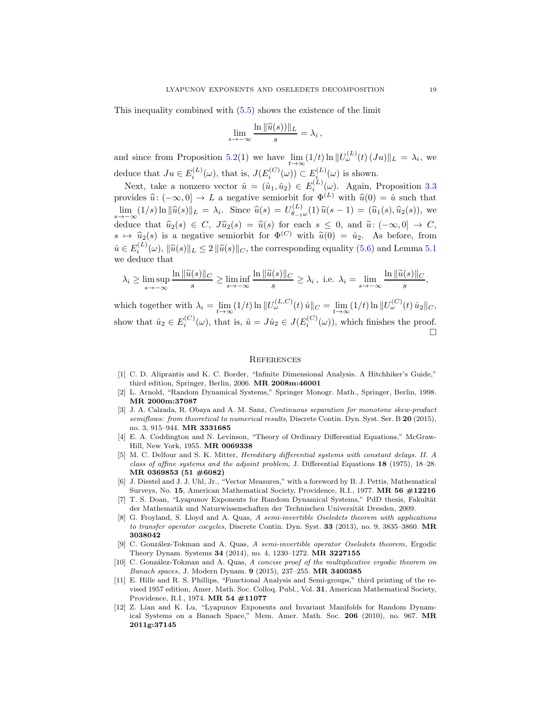This inequality combined with [\(5.5\)](#page-17-1) shows the existence of the limit

$$
\lim_{s \to -\infty} \frac{\ln \|\widehat{u}(s))\|_{L}}{s} = \lambda_i,
$$

and since from Proposition [5.2\(](#page-14-2)1) we have  $\lim_{t\to\infty}(1/t)\ln\|U_{\omega}^{(L)}(t)(Ju)\|_{L}=\lambda_{i}$ , we deduce that  $Ju \in E_i^{(L)}(\omega)$ , that is,  $J(E_i^{(C)}(\omega)) \subset E_i^{(L)}(\omega)$  is shown.

Next, take a nonzero vector  $\hat{u} = (\hat{u}_1, \hat{u}_2) \in E_i^{(L)}(\omega)$ . Again, Proposition [3.3](#page-6-0) provides  $\hat{u}: (-\infty, 0] \to L$  a negative semiorbit for  $\Phi^{(L)}$  with  $\hat{u}(0) = \hat{u}$  such that  $\lim_{s \to -\infty} (1/s) \ln \|\widehat{u}(s)\|_{L} = \lambda_i$ . Since  $\widehat{u}(s) = U_{\theta-1}^{(L)}$  $\hat{u}_{\theta_{-1}\omega}^{(L)}(1)\,\hat{u}(s-1)=(\hat{u}_1(s),\hat{u}_2(s)),$  we deduce that  $\widehat{u}_2(s) \in C$ ,  $J\widehat{u}_2(s) = \widehat{u}(s)$  for each  $s \leq 0$ , and  $\widetilde{u}: (-\infty, 0] \to C$ ,  $s \mapsto \hat{u}_2(s)$  is a negative semiorbit for  $\Phi^{(C)}$  with  $\tilde{u}(0) = \hat{u}_2$ . As before, from  $\hat{u} \in E_i^{(L)}(\omega), \|\hat{u}(s)\|_L \leq 2 \|\tilde{u}(s)\|_C$ , the corresponding equality [\(5.6\)](#page-17-2) and Lemma [5.1](#page-14-1) we deduce that

$$
\lambda_i \ge \limsup_{s \to -\infty} \frac{\ln \|\widetilde{u}(s)\|_C}{s} \ge \liminf_{s \to -\infty} \frac{\ln \|\widetilde{u}(s)\|_C}{s} \ge \lambda_i, \text{ i.e. } \lambda_i = \lim_{s \to -\infty} \frac{\ln \|\widetilde{u}(s)\|_C}{s},
$$

which together with  $\lambda_i = \lim_{t \to \infty} (1/t) \ln \| U_{\omega}^{(L,C)}(t) \hat{u} \|_C = \lim_{t \to \infty} (1/t) \ln \| U_{\omega}^{(C)}(t) \hat{u}_2 \|_C$ , show that  $\hat{u}_2 \in E_i^{(C)}(\omega)$ , that is,  $\hat{u} = J\hat{u}_2 \in J(E_i^{(C)}(\omega))$ , which finishes the proof.  $\Box$ 

#### **REFERENCES**

- <span id="page-18-10"></span>[1] C. D. Aliprantis and K. C. Border, "Infinite Dimensional Analysis. A Hitchhiker's Guide," third edition, Springer, Berlin, 2006. MR 2008m:46001
- <span id="page-18-8"></span><span id="page-18-4"></span>[2] L. Arnold, "Random Dynamical Systems," Springer Monogr. Math., Springer, Berlin, 1998. MR 2000m:37087
- [3] J. A. Calzada, R. Obaya and A. M. Sanz, Continuous separation for monotone skew-product semiflows: from theoretical to numerical results, Discrete Contin. Dyn. Syst. Ser. B 20 (2015), no. 3, 915–944. MR 3331685
- <span id="page-18-7"></span>[4] E. A. Coddington and N. Levinson, "Theory of Ordinary Differential Equations," McGraw-Hill, New York, 1955. MR 0069338
- <span id="page-18-6"></span>[5] M. C. Delfour and S. K. Mitter, Hereditary differential systems with constant delays. II. A class of affine systems and the adjoint problem, J. Differential Equations 18 (1975), 18–28. MR 0369853 (51 #6082)
- <span id="page-18-9"></span>[6] J. Diestel and J. J. Uhl, Jr., "Vector Measures," with a foreword by B. J. Pettis, Mathematical Surveys, No. 15, American Mathematical Society, Providence, R.I., 1977. MR 56 #12216
- <span id="page-18-1"></span>[7] T. S. Doan, "Lyapunov Exponents for Random Dynamical Systems," PdD thesis, Fakultät der Mathematik und Naturwissenschaften der Technischen Universität Dresden, 2009.
- <span id="page-18-3"></span>[8] G. Froyland, S. Lloyd and A. Quas, A semi-invertible Oseledets theorem with applications to transfer operator cocycles, Discrete Contin. Dyn. Syst. 33 (2013), no. 9, 3835–3860. MR 3038042
- <span id="page-18-2"></span>[9] C. González-Tokman and A. Quas, A semi-invertible operator Oseledets theorem, Ergodic Theory Dynam. Systems 34 (2014), no. 4, 1230–1272. MR 3227155
- <span id="page-18-5"></span>[10] C. González-Tokman and A. Quas, A concise proof of the multiplicative ergodic theorem on Banach spaces, J. Modern Dynam. 9 (2015), 237–255. MR 3400385
- <span id="page-18-11"></span>[11] E. Hille and R. S. Phillips, "Functional Analysis and Semi-groups," third printing of the revised 1957 edition, Amer. Math. Soc. Colloq. Publ., Vol. 31, American Mathematical Society, Providence, R.I., 1974. MR 54 #11077
- <span id="page-18-0"></span>[12] Z. Lian and K. Lu, "Lyapunov Exponents and Invariant Manifolds for Random Dynamical Systems on a Banach Space," Mem. Amer. Math. Soc. 206 (2010), no. 967. MR 2011g:37145